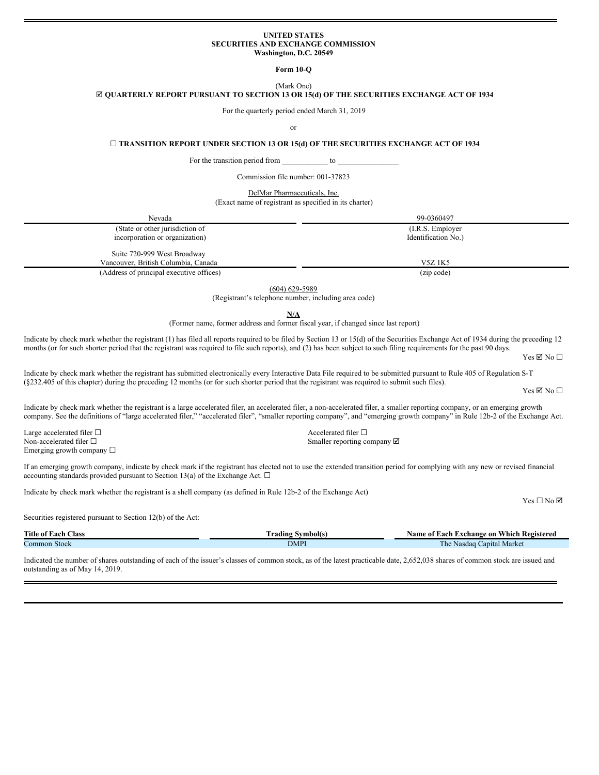#### **UNITED STATES SECURITIES AND EXCHANGE COMMISSION Washington, D.C. 20549**

**Form 10-Q**

### (Mark One)

þ **QUARTERLY REPORT PURSUANT TO SECTION 13 OR 15(d) OF THE SECURITIES EXCHANGE ACT OF 1934**

For the quarterly period ended March 31, 2019

#### or

#### ☐ **TRANSITION REPORT UNDER SECTION 13 OR 15(d) OF THE SECURITIES EXCHANGE ACT OF 1934**

For the transition period from to  $\sim$ 

Commission file number: 001-37823

DelMar Pharmaceuticals, Inc. (Exact name of registrant as specified in its charter)

| Nevada                                                             | 99-0360497          |
|--------------------------------------------------------------------|---------------------|
| (State or other jurisdiction of                                    | (I.R.S. Employer)   |
| incorporation or organization)                                     | Identification No.) |
| Suite 720-999 West Broadway<br>Vancouver, British Columbia, Canada | V5Z 1K5             |
|                                                                    |                     |
| (Address of principal executive offices)                           | (zip code)          |

(604) 629-5989

(Registrant's telephone number, including area code)

**N/A**

(Former name, former address and former fiscal year, if changed since last report)

Indicate by check mark whether the registrant (1) has filed all reports required to be filed by Section 13 or 15(d) of the Securities Exchange Act of 1934 during the preceding 12 months (or for such shorter period that the registrant was required to file such reports), and (2) has been subject to such filing requirements for the past 90 days.

Yes $\boxdot$  No  $\Box$ 

Indicate by check mark whether the registrant has submitted electronically every Interactive Data File required to be submitted pursuant to Rule 405 of Regulation S-T (§232.405 of this chapter) during the preceding 12 months (or for such shorter period that the registrant was required to submit such files).

 $Yes \nbox{ } No \nbox{ } \square$ 

 $\mathbf{Yes} \ \Box \ \mathbf{No} \ \overline{\boxtimes}$ 

Indicate by check mark whether the registrant is a large accelerated filer, an accelerated filer, a non-accelerated filer, a smaller reporting company, or an emerging growth company. See the definitions of "large accelerated filer," "accelerated filer", "smaller reporting company", and "emerging growth company" in Rule 12b-2 of the Exchange Act.

Large accelerated filer □ and  $\Box$  Accelerated filer □ Non-accelerated filer  $\Box$ Emerging growth company ☐

Smaller reporting company  $\boxtimes$ 

If an emerging growth company, indicate by check mark if the registrant has elected not to use the extended transition period for complying with any new or revised financial accounting standards provided pursuant to Section 13(a) of the Exchange Act.  $\Box$ 

Indicate by check mark whether the registrant is a shell company (as defined in Rule 12b-2 of the Exchange Act)

Securities registered pursuant to Section 12(b) of the Act:

| Title of<br>Aass<br>Each | Symbol(s.<br>radıng | Which<br><b>Registered</b><br>Name<br>Each<br><b>Exchange on</b><br>വ |
|--------------------------|---------------------|-----------------------------------------------------------------------|
| Common Stock             | <b>DMP</b>          | l he Na<br>! Market<br>Nasdao<br>apital                               |

Indicated the number of shares outstanding of each of the issuer's classes of common stock, as of the latest practicable date, 2,652,038 shares of common stock are issued and outstanding as of May 14, 2019.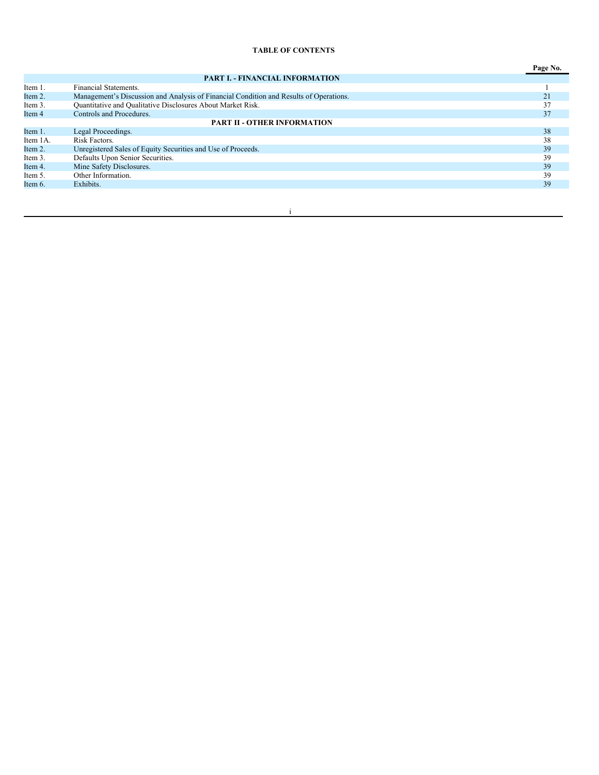### **TABLE OF CONTENTS**

|          |                                                                                        | Page No. |
|----------|----------------------------------------------------------------------------------------|----------|
|          | <b>PART I. - FINANCIAL INFORMATION</b>                                                 |          |
| Item 1.  | Financial Statements.                                                                  |          |
| Item 2.  | Management's Discussion and Analysis of Financial Condition and Results of Operations. | 21       |
| Item 3.  | Quantitative and Qualitative Disclosures About Market Risk.                            | 37       |
| Item 4   | Controls and Procedures.                                                               | 37       |
|          | <b>PART II - OTHER INFORMATION</b>                                                     |          |
| Item 1.  | Legal Proceedings.                                                                     | 38       |
| Item 1A. | Risk Factors.                                                                          | 38       |
| Item 2.  | Unregistered Sales of Equity Securities and Use of Proceeds.                           | 39       |
| Item 3.  | Defaults Upon Senior Securities.                                                       | 39       |
| Item 4.  | Mine Safety Disclosures.                                                               | 39       |
| Item 5.  | Other Information.                                                                     | 39       |
| Item 6.  | Exhibits.                                                                              | 39       |
|          |                                                                                        |          |

i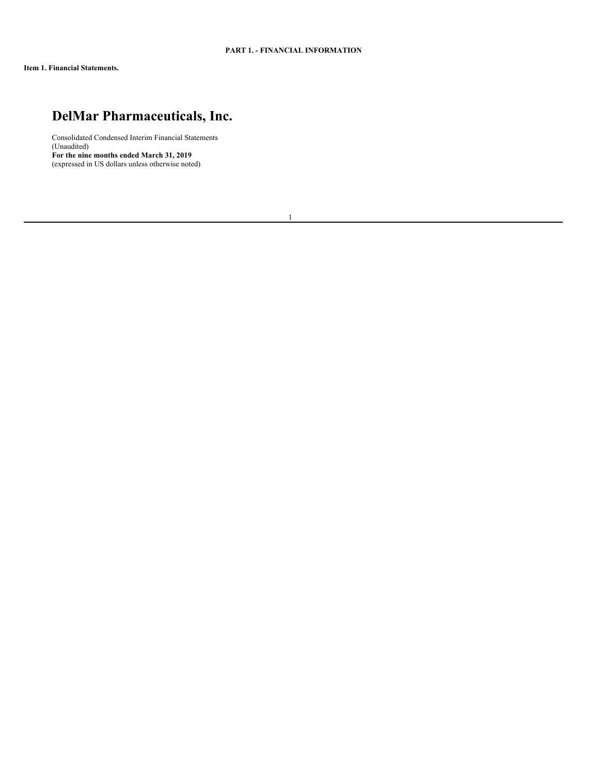**Item 1. Financial Statements.**

# **DelMar Pharmaceuticals, Inc.**

Consolidated Condensed Interim Financial Statements (Unaudited) **For the nine months ended March 31, 2019** (expressed in US dollars unless otherwise noted)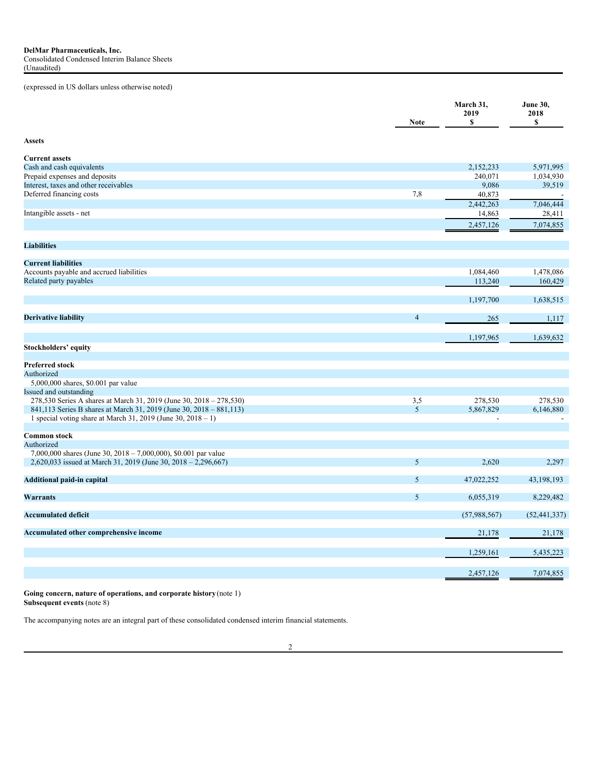Consolidated Condensed Interim Balance Sheets (Unaudited)

| (expressed in US dollars unless otherwise noted)                                                                                           |                |                          |                               |
|--------------------------------------------------------------------------------------------------------------------------------------------|----------------|--------------------------|-------------------------------|
|                                                                                                                                            | <b>Note</b>    | March 31,<br>2019<br>\$  | <b>June 30,</b><br>2018<br>\$ |
| <b>Assets</b>                                                                                                                              |                |                          |                               |
| <b>Current assets</b>                                                                                                                      |                |                          |                               |
| Cash and cash equivalents                                                                                                                  |                | 2,152,233                | 5,971,995                     |
| Prepaid expenses and deposits                                                                                                              |                | 240,071                  | 1,034,930                     |
| Interest, taxes and other receivables<br>Deferred financing costs                                                                          | 7,8            | 9,086                    | 39,519                        |
|                                                                                                                                            |                | 40,873<br>2,442,263      | 7,046,444                     |
| Intangible assets - net                                                                                                                    |                |                          | 28,411                        |
|                                                                                                                                            |                | 14,863                   |                               |
|                                                                                                                                            |                | 2,457,126                | 7,074,855                     |
| <b>Liabilities</b>                                                                                                                         |                |                          |                               |
|                                                                                                                                            |                |                          |                               |
| <b>Current liabilities</b>                                                                                                                 |                |                          |                               |
| Accounts payable and accrued liabilities                                                                                                   |                | 1,084,460                | 1,478,086                     |
| Related party payables                                                                                                                     |                | 113,240                  | 160,429                       |
|                                                                                                                                            |                |                          |                               |
|                                                                                                                                            |                | 1,197,700                | 1,638,515                     |
| <b>Derivative liability</b>                                                                                                                | $\overline{4}$ |                          |                               |
|                                                                                                                                            |                | 265                      | 1,117                         |
|                                                                                                                                            |                | 1,197,965                | 1,639,632                     |
| Stockholders' equity                                                                                                                       |                |                          |                               |
|                                                                                                                                            |                |                          |                               |
| Preferred stock                                                                                                                            |                |                          |                               |
| Authorized                                                                                                                                 |                |                          |                               |
| 5,000,000 shares, \$0.001 par value                                                                                                        |                |                          |                               |
| Issued and outstanding                                                                                                                     |                |                          |                               |
| 278,530 Series A shares at March 31, 2019 (June 30, 2018 – 278,530)<br>841,113 Series B shares at March 31, 2019 (June 30, 2018 – 881,113) | 3,5<br>5       | 278,530<br>5,867,829     | 278,530<br>6,146,880          |
| 1 special voting share at March 31, 2019 (June 30, $2018 - 1$ )                                                                            |                | $\overline{\phantom{a}}$ | $\overline{\phantom{a}}$      |
|                                                                                                                                            |                |                          |                               |
| <b>Common stock</b>                                                                                                                        |                |                          |                               |
| Authorized                                                                                                                                 |                |                          |                               |
| 7,000,000 shares (June 30, 2018 – 7,000,000), \$0.001 par value                                                                            |                |                          |                               |
| 2,620,033 issued at March 31, 2019 (June 30, 2018 – 2,296,667)                                                                             | 5              | 2,620                    | 2,297                         |
| <b>Additional paid-in capital</b>                                                                                                          | 5              | 47,022,252               | 43,198,193                    |
|                                                                                                                                            |                |                          |                               |
| <b>Warrants</b>                                                                                                                            | $\sqrt{5}$     | 6,055,319                | 8,229,482                     |
|                                                                                                                                            |                |                          |                               |
| <b>Accumulated deficit</b>                                                                                                                 |                | (57,988,567)             | (52, 441, 337)                |
| Accumulated other comprehensive income                                                                                                     |                | 21,178                   |                               |
|                                                                                                                                            |                |                          | 21,178                        |
|                                                                                                                                            |                | 1,259,161                | 5,435,223                     |
|                                                                                                                                            |                |                          |                               |
|                                                                                                                                            |                | 2,457,126                | 7,074,855                     |
|                                                                                                                                            |                |                          |                               |

**Going concern, nature of operations, and corporate history** (note 1) **Subsequent events** (note 8)

The accompanying notes are an integral part of these consolidated condensed interim financial statements.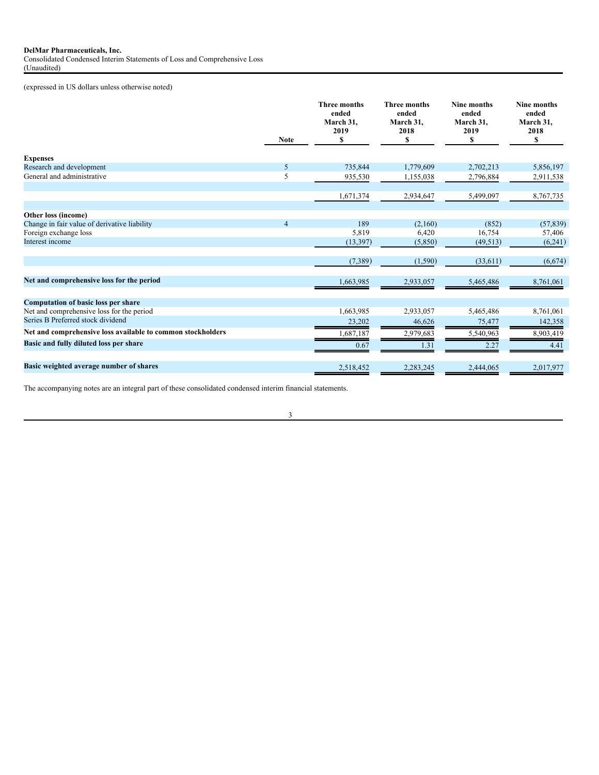### **DelMar Pharmaceuticals, Inc.**

Consolidated Condensed Interim Statements of Loss and Comprehensive Loss

(Unaudited)

(expressed in US dollars unless otherwise noted)

|                                                             | <b>Note</b>    | <b>Three months</b><br>ended<br>March 31,<br>2019<br>S | <b>Three months</b><br>ended<br>March 31,<br>2018<br>S | <b>Nine months</b><br>ended<br>March 31,<br>2019<br>S | <b>Nine months</b><br>ended<br>March 31,<br>2018<br>S |
|-------------------------------------------------------------|----------------|--------------------------------------------------------|--------------------------------------------------------|-------------------------------------------------------|-------------------------------------------------------|
|                                                             |                |                                                        |                                                        |                                                       |                                                       |
| <b>Expenses</b>                                             |                |                                                        |                                                        |                                                       |                                                       |
| Research and development                                    | 5              | 735,844                                                | 1,779,609                                              | 2,702,213                                             | 5,856,197                                             |
| General and administrative                                  | 5              | 935,530                                                | 1,155,038                                              | 2,796,884                                             | 2,911,538                                             |
|                                                             |                | 1,671,374                                              | 2,934,647                                              | 5,499,097                                             | 8,767,735                                             |
| Other loss (income)                                         |                |                                                        |                                                        |                                                       |                                                       |
| Change in fair value of derivative liability                | $\overline{4}$ | 189                                                    | (2,160)                                                | (852)                                                 | (57, 839)                                             |
| Foreign exchange loss                                       |                | 5,819                                                  | 6.420                                                  | 16,754                                                | 57,406                                                |
| Interest income                                             |                | (13, 397)                                              | (5,850)                                                | (49, 513)                                             | (6,241)                                               |
|                                                             |                | (7,389)                                                | (1,590)                                                | (33,611)                                              | (6,674)                                               |
| Net and comprehensive loss for the period                   |                | 1,663,985                                              | 2,933,057                                              | 5,465,486                                             | 8,761,061                                             |
| <b>Computation of basic loss per share</b>                  |                |                                                        |                                                        |                                                       |                                                       |
| Net and comprehensive loss for the period                   |                | 1,663,985                                              | 2,933,057                                              | 5,465,486                                             | 8,761,061                                             |
| Series B Preferred stock dividend                           |                | 23,202                                                 | 46,626                                                 | 75,477                                                | 142,358                                               |
| Net and comprehensive loss available to common stockholders |                | 1,687,187                                              | 2,979,683                                              | 5,540,963                                             | 8,903,419                                             |
| Basic and fully diluted loss per share                      |                | 0.67                                                   | 1.31                                                   | 2.27                                                  | 4.41                                                  |
|                                                             |                |                                                        |                                                        |                                                       |                                                       |
| Basic weighted average number of shares                     |                | 2,518,452                                              | 2,283,245                                              | 2,444,065                                             | 2,017,977                                             |

The accompanying notes are an integral part of these consolidated condensed interim financial statements.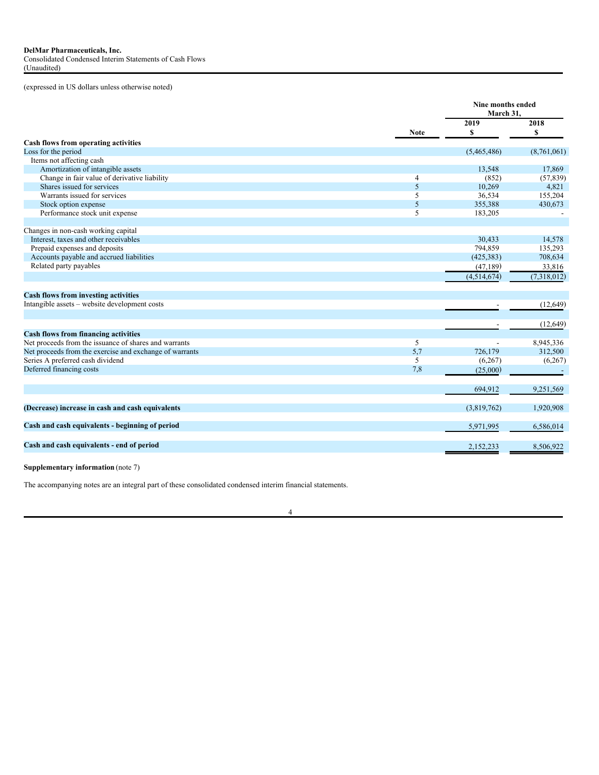Consolidated Condensed Interim Statements of Cash Flows (Unaudited)

(expressed in US dollars unless otherwise noted)

|                                                         | <b>Nine months ended</b><br>March 31. |             |             |
|---------------------------------------------------------|---------------------------------------|-------------|-------------|
|                                                         | <b>Note</b>                           | 2019<br>\$  | 2018<br>\$  |
| Cash flows from operating activities                    |                                       |             |             |
| Loss for the period                                     |                                       | (5,465,486) | (8,761,061) |
| Items not affecting cash                                |                                       |             |             |
| Amortization of intangible assets                       |                                       | 13,548      | 17,869      |
| Change in fair value of derivative liability            | 4                                     | (852)       | (57, 839)   |
| Shares issued for services                              | 5                                     | 10,269      | 4,821       |
| Warrants issued for services                            | 5                                     | 36.534      | 155,204     |
| Stock option expense                                    | 5                                     | 355,388     | 430,673     |
| Performance stock unit expense                          | 5                                     | 183,205     |             |
| Changes in non-cash working capital                     |                                       |             |             |
| Interest, taxes and other receivables                   |                                       | 30.433      | 14,578      |
| Prepaid expenses and deposits                           |                                       | 794,859     | 135,293     |
| Accounts payable and accrued liabilities                |                                       | (425, 383)  | 708,634     |
| Related party payables                                  |                                       | (47, 189)   | 33,816      |
|                                                         |                                       | (4,514,674) | (7,318,012) |
| <b>Cash flows from investing activities</b>             |                                       |             |             |
| Intangible assets - website development costs           |                                       |             |             |
|                                                         |                                       |             | (12, 649)   |
|                                                         |                                       |             | (12, 649)   |
| <b>Cash flows from financing activities</b>             |                                       |             |             |
| Net proceeds from the issuance of shares and warrants   | 5                                     |             | 8,945,336   |
| Net proceeds from the exercise and exchange of warrants | 5,7                                   | 726,179     | 312,500     |
| Series A preferred cash dividend                        | 5                                     | (6,267)     | (6,267)     |
| Deferred financing costs                                | 7,8                                   | (25,000)    |             |
|                                                         |                                       | 694,912     | 9,251,569   |
|                                                         |                                       |             |             |
| (Decrease) increase in cash and cash equivalents        |                                       | (3,819,762) | 1,920,908   |
| Cash and cash equivalents - beginning of period         |                                       | 5,971,995   | 6,586,014   |
| Cash and cash equivalents - end of period               |                                       | 2,152,233   | 8,506,922   |

4

**Supplementary information** (note 7)

The accompanying notes are an integral part of these consolidated condensed interim financial statements.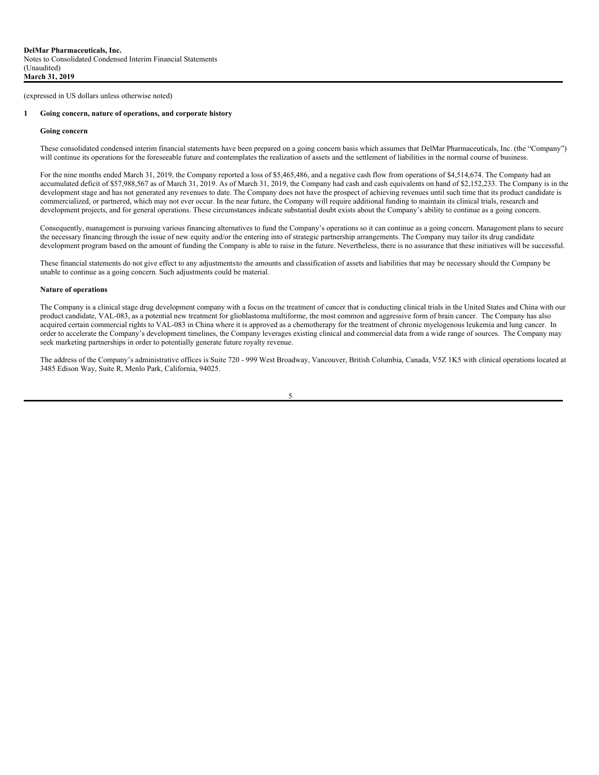#### **1 Going concern, nature of operations, and corporate history**

#### **Going concern**

These consolidated condensed interim financial statements have been prepared on a going concern basis which assumes that DelMar Pharmaceuticals, Inc. (the "Company") will continue its operations for the foreseeable future and contemplates the realization of assets and the settlement of liabilities in the normal course of business.

For the nine months ended March 31, 2019, the Company reported a loss of \$5,465,486, and a negative cash flow from operations of \$4,514,674. The Company had an accumulated deficit of \$57,988,567 as of March 31, 2019. As of March 31, 2019, the Company had cash and cash equivalents on hand of \$2,152,233. The Company is in the development stage and has not generated any revenues to date. The Company does not have the prospect of achieving revenues until such time that its product candidate is commercialized, or partnered, which may not ever occur. In the near future, the Company will require additional funding to maintain its clinical trials, research and development projects, and for general operations. These circumstances indicate substantial doubt exists about the Company's ability to continue as a going concern.

Consequently, management is pursuing various financing alternatives to fund the Company's operations so it can continue as a going concern. Management plans to secure the necessary financing through the issue of new equity and/or the entering into of strategic partnership arrangements. The Company may tailor its drug candidate development program based on the amount of funding the Company is able to raise in the future. Nevertheless, there is no assurance that these initiatives will be successful.

These financial statements do not give effect to any adjustmentsto the amounts and classification of assets and liabilities that may be necessary should the Company be unable to continue as a going concern. Such adjustments could be material.

#### **Nature of operations**

The Company is a clinical stage drug development company with a focus on the treatment of cancer that is conducting clinical trials in the United States and China with our product candidate, VAL-083, as a potential new treatment for glioblastoma multiforme, the most common and aggressive form of brain cancer. The Company has also acquired certain commercial rights to VAL-083 in China where it is approved as a chemotherapy for the treatment of chronic myelogenous leukemia and lung cancer. In order to accelerate the Company's development timelines, the Company leverages existing clinical and commercial data from a wide range of sources. The Company may seek marketing partnerships in order to potentially generate future royalty revenue.

The address of the Company's administrative offices is Suite 720 - 999 West Broadway, Vancouver, British Columbia, Canada, V5Z 1K5 with clinical operations located at 3485 Edison Way, Suite R, Menlo Park, California, 94025.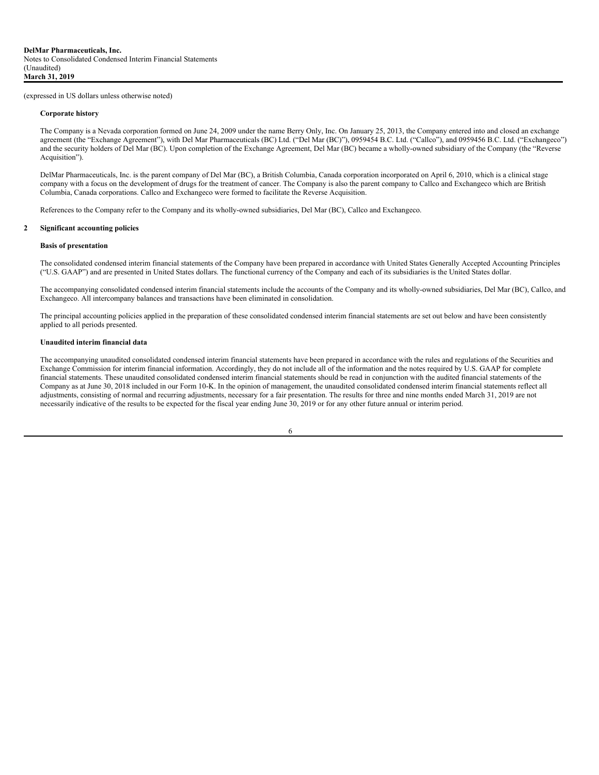#### **Corporate history**

The Company is a Nevada corporation formed on June 24, 2009 under the name Berry Only, Inc. On January 25, 2013, the Company entered into and closed an exchange agreement (the "Exchange Agreement"), with Del Mar Pharmaceuticals (BC) Ltd. ("Del Mar (BC)"), 0959454 B.C. Ltd. ("Callco"), and 0959456 B.C. Ltd. ("Exchangeco") and the security holders of Del Mar (BC). Upon completion of the Exchange Agreement, Del Mar (BC) became a wholly-owned subsidiary of the Company (the "Reverse Acquisition").

DelMar Pharmaceuticals, Inc. is the parent company of Del Mar (BC), a British Columbia, Canada corporation incorporated on April 6, 2010, which is a clinical stage company with a focus on the development of drugs for the treatment of cancer. The Company is also the parent company to Callco and Exchangeco which are British Columbia, Canada corporations. Callco and Exchangeco were formed to facilitate the Reverse Acquisition.

References to the Company refer to the Company and its wholly-owned subsidiaries, Del Mar (BC), Callco and Exchangeco.

#### **2 Significant accounting policies**

#### **Basis of presentation**

The consolidated condensed interim financial statements of the Company have been prepared in accordance with United States Generally Accepted Accounting Principles ("U.S. GAAP") and are presented in United States dollars. The functional currency of the Company and each of its subsidiaries is the United States dollar.

The accompanying consolidated condensed interim financial statements include the accounts of the Company and its wholly-owned subsidiaries, Del Mar (BC), Callco, and Exchangeco. All intercompany balances and transactions have been eliminated in consolidation.

The principal accounting policies applied in the preparation of these consolidated condensed interim financial statements are set out below and have been consistently applied to all periods presented.

#### **Unaudited interim financial data**

The accompanying unaudited consolidated condensed interim financial statements have been prepared in accordance with the rules and regulations of the Securities and Exchange Commission for interim financial information. Accordingly, they do not include all of the information and the notes required by U.S. GAAP for complete financial statements. These unaudited consolidated condensed interim financial statements should be read in conjunction with the audited financial statements of the Company as at June 30, 2018 included in our Form 10-K. In the opinion of management, the unaudited consolidated condensed interim financial statements reflect all adjustments, consisting of normal and recurring adjustments, necessary for a fair presentation. The results for three and nine months ended March 31, 2019 are not necessarily indicative of the results to be expected for the fiscal year ending June 30, 2019 or for any other future annual or interim period.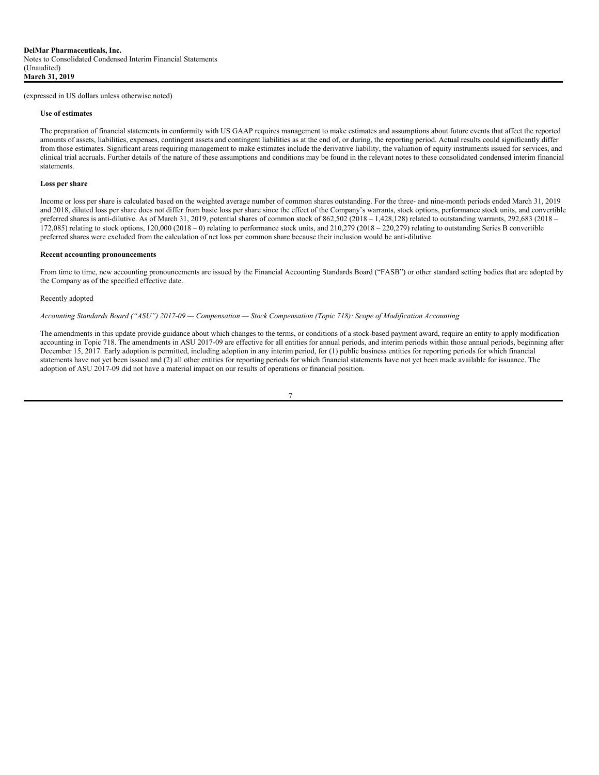#### **Use of estimates**

The preparation of financial statements in conformity with US GAAP requires management to make estimates and assumptions about future events that affect the reported amounts of assets, liabilities, expenses, contingent assets and contingent liabilities as at the end of, or during, the reporting period. Actual results could significantly differ from those estimates. Significant areas requiring management to make estimates include the derivative liability, the valuation of equity instruments issued for services, and clinical trial accruals. Further details of the nature of these assumptions and conditions may be found in the relevant notes to these consolidated condensed interim financial statements.

#### **Loss per share**

Income or loss per share is calculated based on the weighted average number of common shares outstanding. For the three- and nine-month periods ended March 31, 2019 and 2018, diluted loss per share does not differ from basic loss per share since the effect of the Company's warrants, stock options, performance stock units, and convertible preferred shares is anti-dilutive. As of March 31, 2019, potential shares of common stock of 862,502 (2018 – 1,428,128) related to outstanding warrants, 292,683 (2018 – 172,085) relating to stock options, 120,000 (2018 – 0) relating to performance stock units, and 210,279 (2018 – 220,279) relating to outstanding Series B convertible preferred shares were excluded from the calculation of net loss per common share because their inclusion would be anti-dilutive.

#### **Recent accounting pronouncements**

From time to time, new accounting pronouncements are issued by the Financial Accounting Standards Board ("FASB") or other standard setting bodies that are adopted by the Company as of the specified effective date.

#### Recently adopted

Accounting Standards Board ("ASU") 2017-09 - Compensation - Stock Compensation (Topic 718): Scope of Modification Accounting

The amendments in this update provide guidance about which changes to the terms, or conditions of a stock-based payment award, require an entity to apply modification accounting in Topic 718. The amendments in ASU 2017-09 are effective for all entities for annual periods, and interim periods within those annual periods, beginning after December 15, 2017. Early adoption is permitted, including adoption in any interim period, for (1) public business entities for reporting periods for which financial statements have not yet been issued and (2) all other entities for reporting periods for which financial statements have not yet been made available for issuance. The adoption of ASU 2017-09 did not have a material impact on our results of operations or financial position.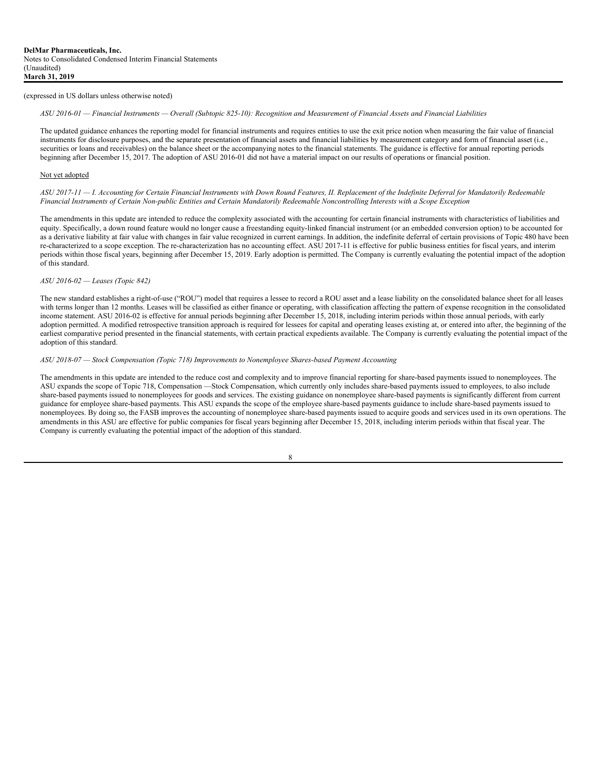ASU 2016-01 - Financial Instruments - Overall (Subtopic 825-10): Recognition and Measurement of Financial Assets and Financial Liabilities

The updated guidance enhances the reporting model for financial instruments and requires entities to use the exit price notion when measuring the fair value of financial instruments for disclosure purposes, and the separate presentation of financial assets and financial liabilities by measurement category and form of financial asset (i.e., securities or loans and receivables) on the balance sheet or the accompanying notes to the financial statements. The guidance is effective for annual reporting periods beginning after December 15, 2017. The adoption of ASU 2016-01 did not have a material impact on our results of operations or financial position.

#### Not yet adopted

ASU 2017-11 - I. Accounting for Certain Financial Instruments with Down Round Features, II. Replacement of the Indefinite Deferral for Mandatorily Redeemable Financial Instruments of Certain Non-public Entities and Certain Mandatorily Redeemable Noncontrolling Interests with a Scope Exception

The amendments in this update are intended to reduce the complexity associated with the accounting for certain financial instruments with characteristics of liabilities and equity. Specifically, a down round feature would no longer cause a freestanding equity-linked financial instrument (or an embedded conversion option) to be accounted for as a derivative liability at fair value with changes in fair value recognized in current earnings. In addition, the indefinite deferral of certain provisions of Topic 480 have been re-characterized to a scope exception. The re-characterization has no accounting effect. ASU 2017-11 is effective for public business entities for fiscal years, and interim periods within those fiscal years, beginning after December 15, 2019. Early adoption is permitted. The Company is currently evaluating the potential impact of the adoption of this standard.

#### *ASU 2016-02 — Leases (Topic 842)*

The new standard establishes a right-of-use ("ROU") model that requires a lessee to record a ROU asset and a lease liability on the consolidated balance sheet for all leases with terms longer than 12 months. Leases will be classified as either finance or operating, with classification affecting the pattern of expense recognition in the consolidated income statement. ASU 2016-02 is effective for annual periods beginning after December 15, 2018, including interim periods within those annual periods, with early adoption permitted. A modified retrospective transition approach is required for lessees for capital and operating leases existing at, or entered into after, the beginning of the earliest comparative period presented in the financial statements, with certain practical expedients available. The Company is currently evaluating the potential impact of the adoption of this standard.

#### *ASU 2018-07 — Stock Compensation (Topic 718) Improvements to Nonemployee Shares-based Payment Accounting*

The amendments in this update are intended to the reduce cost and complexity and to improve financial reporting for share-based payments issued to nonemployees. The ASU expands the scope of Topic 718, Compensation —Stock Compensation, which currently only includes share-based payments issued to employees, to also include share-based payments issued to nonemployees for goods and services. The existing guidance on nonemployee share-based payments is significantly different from current guidance for employee share-based payments. This ASU expands the scope of the employee share-based payments guidance to include share-based payments issued to nonemployees. By doing so, the FASB improves the accounting of nonemployee share-based payments issued to acquire goods and services used in its own operations. The amendments in this ASU are effective for public companies for fiscal years beginning after December 15, 2018, including interim periods within that fiscal year. The Company is currently evaluating the potential impact of the adoption of this standard.

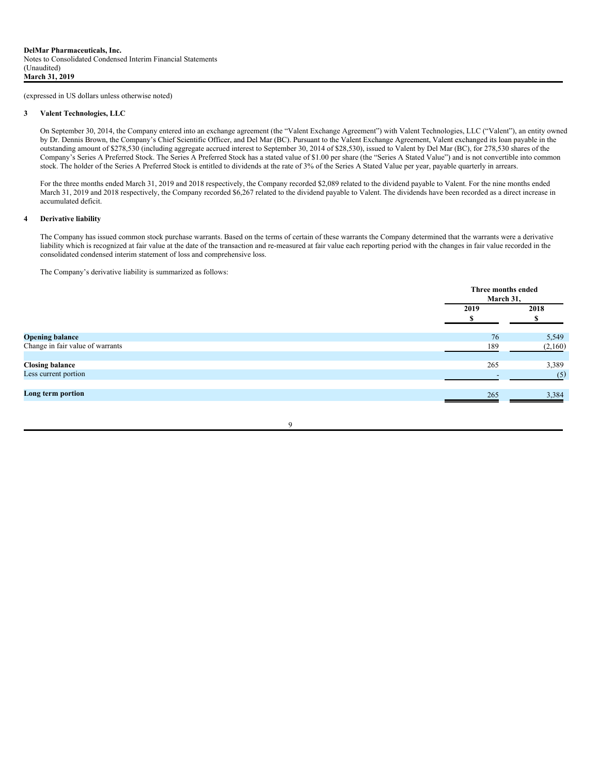#### **3 Valent Technologies, LLC**

On September 30, 2014, the Company entered into an exchange agreement (the "Valent Exchange Agreement") with Valent Technologies, LLC ("Valent"), an entity owned by Dr. Dennis Brown, the Company's Chief Scientific Officer, and Del Mar (BC). Pursuant to the Valent Exchange Agreement, Valent exchanged its loan payable in the outstanding amount of \$278,530 (including aggregate accrued interest to September 30, 2014 of \$28,530), issued to Valent by Del Mar (BC), for 278,530 shares of the Company's Series A Preferred Stock. The Series A Preferred Stock has a stated value of \$1.00 per share (the "Series A Stated Value") and is not convertible into common stock. The holder of the Series A Preferred Stock is entitled to dividends at the rate of 3% of the Series A Stated Value per year, payable quarterly in arrears.

For the three months ended March 31, 2019 and 2018 respectively, the Company recorded \$2,089 related to the dividend payable to Valent. For the nine months ended March 31, 2019 and 2018 respectively, the Company recorded \$6,267 related to the dividend payable to Valent. The dividends have been recorded as a direct increase in accumulated deficit.

#### **4 Derivative liability**

The Company has issued common stock purchase warrants. Based on the terms of certain of these warrants the Company determined that the warrants were a derivative liability which is recognized at fair value at the date of the transaction and re-measured at fair value each reporting period with the changes in fair value recorded in the consolidated condensed interim statement of loss and comprehensive loss.

The Company's derivative liability is summarized as follows:

|                                  | Three months ended<br>March 31, |         |
|----------------------------------|---------------------------------|---------|
|                                  | 2019                            | 2018    |
| <b>Opening balance</b>           | 76                              | 5,549   |
| Change in fair value of warrants | 189                             | (2,160) |
| <b>Closing balance</b>           | 265                             | 3,389   |
| Less current portion             |                                 | (5)     |
| Long term portion                | 265                             | 3,384   |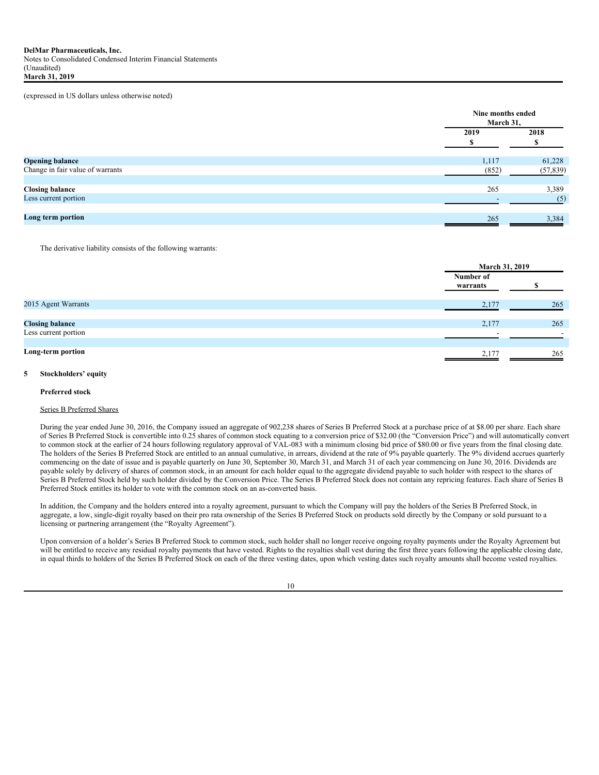Notes to Consolidated Condensed Interim Financial Statements (Unaudited) **March 31, 2019**

(expressed in US dollars unless otherwise noted)

|                                  |       | Nine months ended<br>March 31, |  |
|----------------------------------|-------|--------------------------------|--|
|                                  | 2019  | 2018                           |  |
| <b>Opening balance</b>           | 1,117 | 61,228                         |  |
| Change in fair value of warrants | (852) | (57, 839)                      |  |
| <b>Closing balance</b>           | 265   | 3,389                          |  |
| Less current portion             |       | (5)                            |  |
|                                  |       |                                |  |
| Long term portion                | 265   | 3,384                          |  |

The derivative liability consists of the following warrants:

|                                                | March 31, 2019        |                                 |
|------------------------------------------------|-----------------------|---------------------------------|
|                                                | Number of<br>warrants |                                 |
| 2015 Agent Warrants                            | 2,177                 | 265                             |
| <b>Closing balance</b><br>Less current portion | 2,177                 | 265<br>$\overline{\phantom{0}}$ |
| Long-term portion                              | 2,177                 | 265                             |

#### **5 Stockholders' equity**

#### **Preferred stock**

### Series B Preferred Shares

During the year ended June 30, 2016, the Company issued an aggregate of 902,238 shares of Series B Preferred Stock at a purchase price of at \$8.00 per share. Each share of Series B Preferred Stock is convertible into 0.25 shares of common stock equating to a conversion price of \$32.00 (the "Conversion Price") and will automatically convert to common stock at the earlier of 24 hours following regulatory approval of VAL-083 with a minimum closing bid price of \$80.00 or five years from the final closing date. The holders of the Series B Preferred Stock are entitled to an annual cumulative, in arrears, dividend at the rate of 9% payable quarterly. The 9% dividend accrues quarterly commencing on the date of issue and is payable quarterly on June 30, September 30, March 31, and March 31 of each year commencing on June 30, 2016. Dividends are payable solely by delivery of shares of common stock, in an amount for each holder equal to the aggregate dividend payable to such holder with respect to the shares of Series B Preferred Stock held by such holder divided by the Conversion Price. The Series B Preferred Stock does not contain any repricing features. Each share of Series B Preferred Stock entitles its holder to vote with the common stock on an as-converted basis.

In addition, the Company and the holders entered into a royalty agreement, pursuant to which the Company will pay the holders of the Series B Preferred Stock, in aggregate, a low, single-digit royalty based on their pro rata ownership of the Series B Preferred Stock on products sold directly by the Company or sold pursuant to a licensing or partnering arrangement (the "Royalty Agreement").

Upon conversion of a holder's Series B Preferred Stock to common stock, such holder shall no longer receive ongoing royalty payments under the Royalty Agreement but will be entitled to receive any residual royalty payments that have vested. Rights to the royalties shall vest during the first three years following the applicable closing date, in equal thirds to holders of the Series B Preferred Stock on each of the three vesting dates, upon which vesting dates such royalty amounts shall become vested royalties.

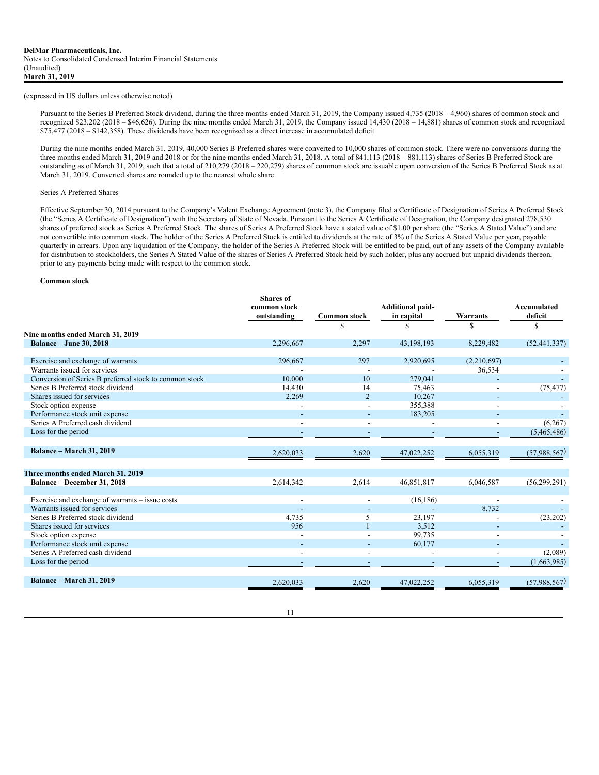Pursuant to the Series B Preferred Stock dividend, during the three months ended March 31, 2019, the Company issued 4,735 (2018 – 4,960) shares of common stock and recognized \$23,202 (2018 – \$46,626). During the nine months ended March 31, 2019, the Company issued 14,430 (2018 – 14,881) shares of common stock and recognized \$75,477 (2018 – \$142,358). These dividends have been recognized as a direct increase in accumulated deficit.

During the nine months ended March 31, 2019, 40,000 Series B Preferred shares were converted to 10,000 shares of common stock. There were no conversions during the three months ended March 31, 2019 and 2018 or for the nine months ended March 31, 2018. A total of 841,113 (2018 – 881,113) shares of Series B Preferred Stock are outstanding as of March 31, 2019, such that a total of 210,279 (2018 – 220,279) shares of common stock are issuable upon conversion of the Series B Preferred Stock as at March 31, 2019. Converted shares are rounded up to the nearest whole share.

#### Series A Preferred Shares

Effective September 30, 2014 pursuant to the Company's Valent Exchange Agreement (note 3), the Company filed a Certificate of Designation of Series A Preferred Stock (the "Series A Certificate of Designation") with the Secretary of State of Nevada. Pursuant to the Series A Certificate of Designation, the Company designated 278,530 shares of preferred stock as Series A Preferred Stock. The shares of Series A Preferred Stock have a stated value of \$1.00 per share (the "Series A Stated Value") and are not convertible into common stock. The holder of the Series A Preferred Stock is entitled to dividends at the rate of 3% of the Series A Stated Value per year, payable quarterly in arrears. Upon any liquidation of the Company, the holder of the Series A Preferred Stock will be entitled to be paid, out of any assets of the Company available for distribution to stockholders, the Series A Stated Value of the shares of Series A Preferred Stock held by such holder, plus any accrued but unpaid dividends thereon, prior to any payments being made with respect to the common stock.

#### **Common stock**

|                                                        | <b>Shares</b> of<br>common stock<br>outstanding | <b>Common stock</b> | <b>Additional paid-</b><br>in capital | Warrants    | Accumulated<br>deficit |
|--------------------------------------------------------|-------------------------------------------------|---------------------|---------------------------------------|-------------|------------------------|
|                                                        |                                                 | S                   | S                                     | \$          | \$                     |
| Nine months ended March 31, 2019                       |                                                 |                     |                                       |             |                        |
| <b>Balance - June 30, 2018</b>                         | 2,296,667                                       | 2,297               | 43,198,193                            | 8,229,482   | (52, 441, 337)         |
| Exercise and exchange of warrants                      | 296,667                                         | 297                 | 2,920,695                             | (2,210,697) |                        |
| Warrants issued for services                           |                                                 |                     |                                       | 36,534      |                        |
| Conversion of Series B preferred stock to common stock | 10.000                                          | 10                  | 279,041                               |             |                        |
| Series B Preferred stock dividend                      | 14,430                                          | 14                  | 75,463                                |             | (75, 477)              |
| Shares issued for services                             | 2,269                                           | 2                   | 10,267                                |             |                        |
| Stock option expense                                   |                                                 |                     | 355,388                               |             |                        |
| Performance stock unit expense                         |                                                 |                     | 183,205                               |             |                        |
| Series A Preferred cash dividend                       |                                                 |                     |                                       |             | (6,267)                |
| Loss for the period                                    |                                                 |                     |                                       |             | (5,465,486)            |
| Balance - March 31, 2019                               | 2,620,033                                       | 2,620               | 47,022,252                            | 6,055,319   | (57,988,567)           |
| Three months ended March 31, 2019                      |                                                 |                     |                                       |             |                        |
| Balance - December 31, 2018                            | 2,614,342                                       | 2,614               | 46,851,817                            | 6,046,587   | (56, 299, 291)         |
|                                                        |                                                 |                     |                                       |             |                        |
| Exercise and exchange of warrants – issue costs        |                                                 |                     | (16, 186)                             |             |                        |
| Warrants issued for services                           |                                                 |                     |                                       | 8,732       |                        |
| Series B Preferred stock dividend                      | 4,735                                           | 5                   | 23,197                                |             | (23,202)               |
| Shares issued for services                             | 956                                             |                     | 3,512                                 |             |                        |
| Stock option expense                                   |                                                 |                     | 99,735                                |             |                        |
| Performance stock unit expense                         | $\overline{\phantom{a}}$                        |                     | 60,177                                |             |                        |
| Series A Preferred cash dividend                       | $\overline{\phantom{a}}$                        |                     |                                       |             | (2,089)                |
| Loss for the period                                    |                                                 |                     |                                       |             | (1,663,985)            |
| <b>Balance - March 31, 2019</b>                        | 2,620,033                                       | 2,620               | 47,022,252                            | 6,055,319   | (57,988,567)           |

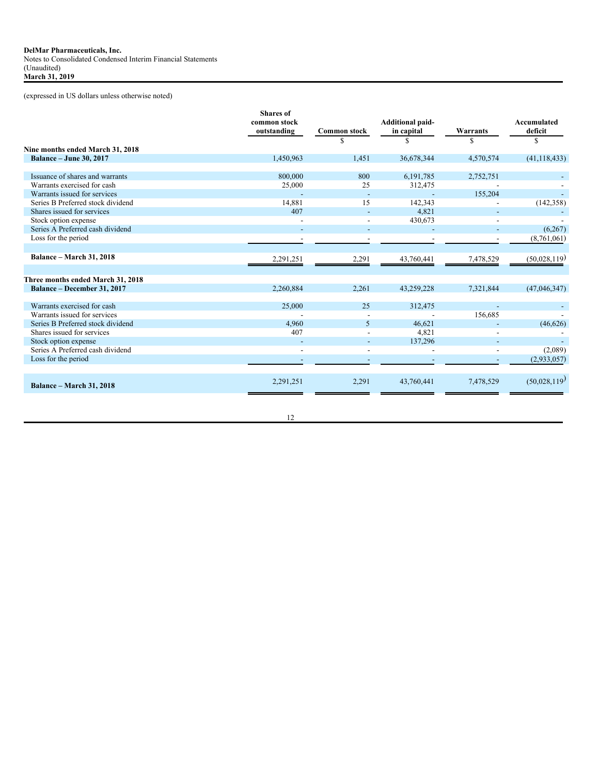Notes to Consolidated Condensed Interim Financial Statements (Unaudited) **March 31, 2019**

(expressed in US dollars unless otherwise noted)

|                                   | <b>Shares</b> of            |                                |                                       |                          |                               |
|-----------------------------------|-----------------------------|--------------------------------|---------------------------------------|--------------------------|-------------------------------|
|                                   | common stock<br>outstanding | <b>Common stock</b>            | <b>Additional paid-</b><br>in capital | Warrants                 | <b>Accumulated</b><br>deficit |
|                                   |                             | S                              | S                                     | \$                       | \$                            |
| Nine months ended March 31, 2018  |                             |                                |                                       |                          |                               |
| <b>Balance - June 30, 2017</b>    | 1,450,963                   | 1,451                          | 36,678,344                            | 4,570,574                | (41, 118, 433)                |
| Issuance of shares and warrants   |                             |                                |                                       |                          |                               |
| Warrants exercised for cash       | 800,000                     | 800                            | 6,191,785                             | 2,752,751                |                               |
| Warrants issued for services      | 25,000                      | 25                             | 312,475                               |                          |                               |
| Series B Preferred stock dividend | 14,881                      | $\overline{\phantom{a}}$<br>15 | 142,343                               | 155,204                  |                               |
| Shares issued for services        | 407                         |                                | 4,821                                 |                          | (142, 358)                    |
| Stock option expense              |                             |                                | 430,673                               | $\overline{\phantom{m}}$ |                               |
| Series A Preferred cash dividend  | ٠                           | $\overline{\phantom{a}}$       |                                       | $\overline{\phantom{0}}$ | (6,267)                       |
| Loss for the period               |                             |                                |                                       |                          |                               |
|                                   |                             |                                |                                       |                          | (8,761,061)                   |
| <b>Balance - March 31, 2018</b>   | 2,291,251                   | 2,291                          | 43,760,441                            | 7,478,529                | (50,028,119)                  |
|                                   |                             |                                |                                       |                          |                               |
| Three months ended March 31, 2018 |                             |                                |                                       |                          |                               |
| Balance - December 31, 2017       | 2,260,884                   | 2,261                          | 43,259,228                            | 7,321,844                | (47,046,347)                  |
|                                   |                             |                                |                                       |                          |                               |
| Warrants exercised for cash       | 25,000                      | 25                             | 312,475                               | $\overline{\phantom{a}}$ |                               |
| Warrants issued for services      |                             |                                |                                       | 156,685                  |                               |
| Series B Preferred stock dividend | 4,960                       | 5                              | 46,621                                |                          | (46, 626)                     |
| Shares issued for services        | 407                         |                                | 4,821                                 |                          |                               |
| Stock option expense              |                             |                                | 137,296                               |                          |                               |
| Series A Preferred cash dividend  | $\blacksquare$              | $\overline{\phantom{a}}$       | $\overline{\phantom{a}}$              |                          | (2,089)                       |
| Loss for the period               | $\overline{\phantom{a}}$    |                                |                                       | ٠                        | (2,933,057)                   |
|                                   |                             |                                |                                       |                          |                               |
|                                   | 2,291,251                   | 2,291                          | 43,760,441                            | 7,478,529                | (50,028,119)                  |
| <b>Balance - March 31, 2018</b>   |                             |                                |                                       |                          |                               |
|                                   |                             |                                |                                       |                          |                               |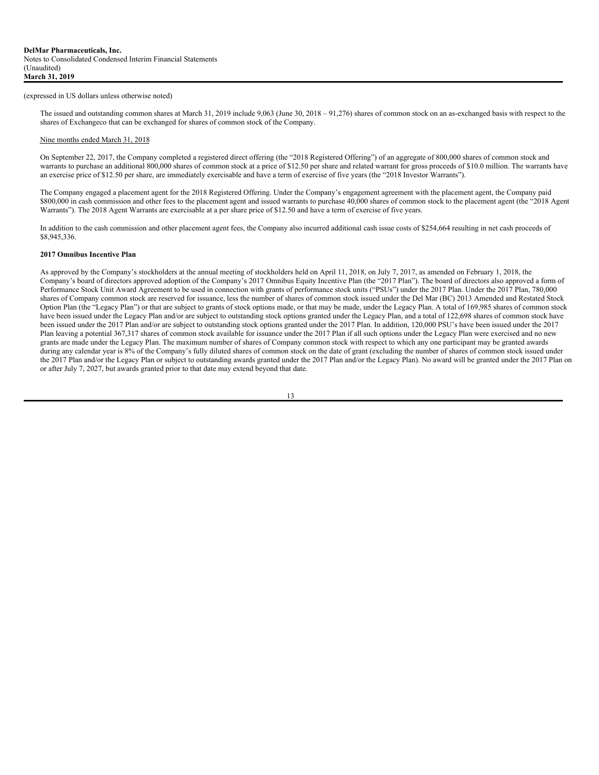The issued and outstanding common shares at March 31, 2019 include 9,063 (June 30, 2018 - 91,276) shares of common stock on an as-exchanged basis with respect to the shares of Exchangeco that can be exchanged for shares of common stock of the Company.

#### Nine months ended March 31, 2018

On September 22, 2017, the Company completed a registered direct offering (the "2018 Registered Offering") of an aggregate of 800,000 shares of common stock and warrants to purchase an additional 800,000 shares of common stock at a price of \$12.50 per share and related warrant for gross proceeds of \$10.0 million. The warrants have an exercise price of \$12.50 per share, are immediately exercisable and have a term of exercise of five years (the "2018 Investor Warrants").

The Company engaged a placement agent for the 2018 Registered Offering. Under the Company's engagement agreement with the placement agent, the Company paid \$800,000 in cash commission and other fees to the placement agent and issued warrants to purchase 40,000 shares of common stock to the placement agent (the "2018 Agent Warrants"). The 2018 Agent Warrants are exercisable at a per share price of \$12.50 and have a term of exercise of five years.

In addition to the cash commission and other placement agent fees, the Company also incurred additional cash issue costs of \$254,664 resulting in net cash proceeds of \$8,945,336.

#### **2017 Omnibus Incentive Plan**

As approved by the Company's stockholders at the annual meeting of stockholders held on April 11, 2018, on July 7, 2017, as amended on February 1, 2018, the Company's board of directors approved adoption of the Company's 2017 Omnibus Equity Incentive Plan (the "2017 Plan"). The board of directors also approved a form of Performance Stock Unit Award Agreement to be used in connection with grants of performance stock units ("PSUs") under the 2017 Plan. Under the 2017 Plan, 780,000 shares of Company common stock are reserved for issuance, less the number of shares of common stock issued under the Del Mar (BC) 2013 Amended and Restated Stock Option Plan (the "Legacy Plan") or that are subject to grants of stock options made, or that may be made, under the Legacy Plan. A total of 169,985 shares of common stock have been issued under the Legacy Plan and/or are subject to outstanding stock options granted under the Legacy Plan, and a total of 122,698 shares of common stock have been issued under the 2017 Plan and/or are subject to outstanding stock options granted under the 2017 Plan. In addition, 120,000 PSU's have been issued under the 2017 Plan leaving a potential 367,317 shares of common stock available for issuance under the 2017 Plan if all such options under the Legacy Plan were exercised and no new grants are made under the Legacy Plan. The maximum number of shares of Company common stock with respect to which any one participant may be granted awards during any calendar year is 8% of the Company's fully diluted shares of common stock on the date of grant (excluding the number of shares of common stock issued under the 2017 Plan and/or the Legacy Plan or subject to outstanding awards granted under the 2017 Plan and/or the Legacy Plan). No award will be granted under the 2017 Plan on or after July 7, 2027, but awards granted prior to that date may extend beyond that date.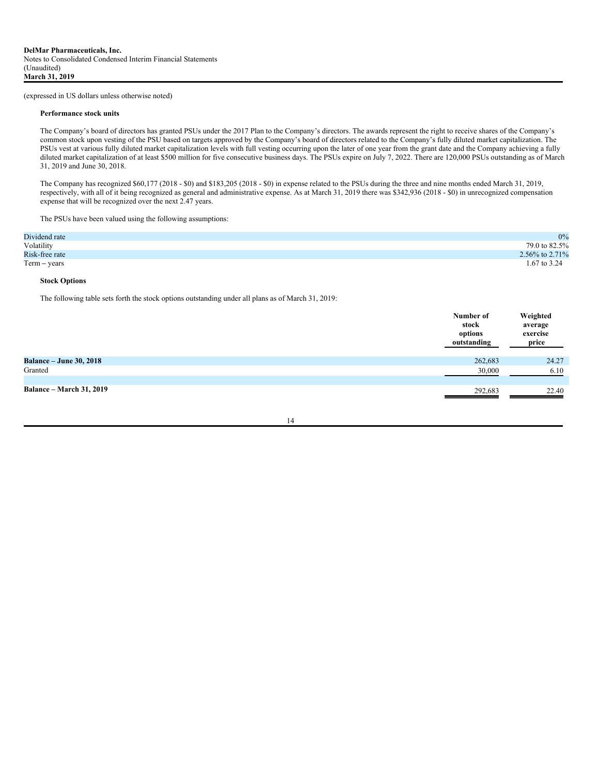#### **Performance stock units**

The Company's board of directors has granted PSUs under the 2017 Plan to the Company's directors. The awards represent the right to receive shares of the Company's common stock upon vesting of the PSU based on targets approved by the Company's board of directors related to the Company's fully diluted market capitalization. The PSUs vest at various fully diluted market capitalization levels with full vesting occurring upon the later of one year from the grant date and the Company achieving a fully diluted market capitalization of at least \$500 million for five consecutive business days. The PSUs expire on July 7, 2022. There are 120,000 PSUs outstanding as of March 31, 2019 and June 30, 2018.

The Company has recognized \$60,177 (2018 - \$0) and \$183,205 (2018 - \$0) in expense related to the PSUs during the three and nine months ended March 31, 2019, respectively, with all of it being recognized as general and administrative expense. As at March 31, 2019 there was \$342,936 (2018 - \$0) in unrecognized compensation expense that will be recognized over the next 2.47 years.

The PSUs have been valued using the following assumptions:

| Dividend rate  | $0\%$          |
|----------------|----------------|
| Volatility     | 79.0 to 82.5%  |
| Risk-free rate | 2.56% to 2.71% |
| $Term - years$ | 1.67 to 3.24   |
|                |                |

## **Stock Options**

The following table sets forth the stock options outstanding under all plans as of March 31, 2019:

|                                 | Number of<br>stock<br>options<br>outstanding | Weighted<br>average<br>exercise<br>price |
|---------------------------------|----------------------------------------------|------------------------------------------|
| <b>Balance - June 30, 2018</b>  | 262,683                                      | 24.27                                    |
| Granted                         | 30,000                                       | 6.10                                     |
|                                 |                                              |                                          |
| <b>Balance - March 31, 2019</b> | 292,683                                      | 22.40                                    |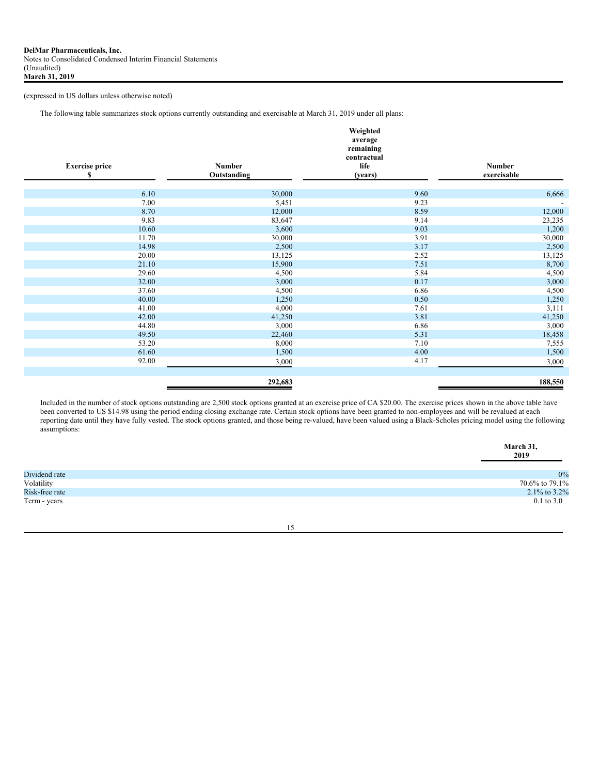Notes to Consolidated Condensed Interim Financial Statements (Unaudited) **March 31, 2019**

(expressed in US dollars unless otherwise noted)

The following table summarizes stock options currently outstanding and exercisable at March 31, 2019 under all plans:

| <b>Exercise price</b><br>\$ | <b>Number</b><br>Outstanding | Weighted<br>average<br>remaining<br>contractual<br>life<br>(years) | <b>Number</b><br>exercisable |
|-----------------------------|------------------------------|--------------------------------------------------------------------|------------------------------|
| 6.10                        | 30,000                       | 9.60                                                               | 6,666                        |
| 7.00                        | 5,451                        | 9.23                                                               |                              |
| 8.70                        | 12,000                       | 8.59                                                               | 12,000                       |
| 9.83                        | 83,647                       | 9.14                                                               | 23,235                       |
| 10.60                       | 3,600                        | 9.03                                                               | 1,200                        |
| 11.70                       | 30,000                       | 3.91                                                               | 30,000                       |
| 14.98                       | 2,500                        | 3.17                                                               | 2,500                        |
| 20.00                       | 13,125                       | 2.52                                                               | 13,125                       |
| 21.10                       | 15,900                       | 7.51                                                               | 8,700                        |
| 29.60                       | 4,500                        | 5.84                                                               | 4,500                        |
| 32.00                       | 3,000                        | 0.17                                                               | 3,000                        |
| 37.60                       | 4,500                        | 6.86                                                               | 4,500                        |
| 40.00                       | 1,250                        | 0.50                                                               | 1,250                        |
| 41.00                       | 4,000                        | 7.61                                                               | 3,111                        |
| 42.00                       | 41,250                       | 3.81                                                               | 41,250                       |
| 44.80                       | 3,000                        | 6.86                                                               | 3,000                        |
| 49.50                       | 22,460                       | 5.31                                                               | 18,458                       |
| 53.20                       | 8,000                        | 7.10                                                               | 7,555                        |
| 61.60                       | 1,500                        | 4.00                                                               | 1,500                        |
| 92.00                       | 3,000                        | 4.17                                                               | 3,000                        |
|                             |                              |                                                                    |                              |
|                             | 292,683                      |                                                                    | 188,550                      |

Included in the number of stock options outstanding are 2,500 stock options granted at an exercise price of CA \$20.00. The exercise prices shown in the above table have been converted to US \$14.98 using the period ending closing exchange rate. Certain stock options have been granted to non-employees and will be revalued at each reporting date until they have fully vested. The stock options granted, and those being re-valued, have been valued using a Black-Scholes pricing model using the following assumptions:

|                | March 31,<br>2019     |
|----------------|-----------------------|
| Dividend rate  | $0\%$                 |
| Volatility     | 70.6% to 79.1%        |
| Risk-free rate | 2.1% to 3.2%          |
| Term - years   | $0.1 \text{ to } 3.0$ |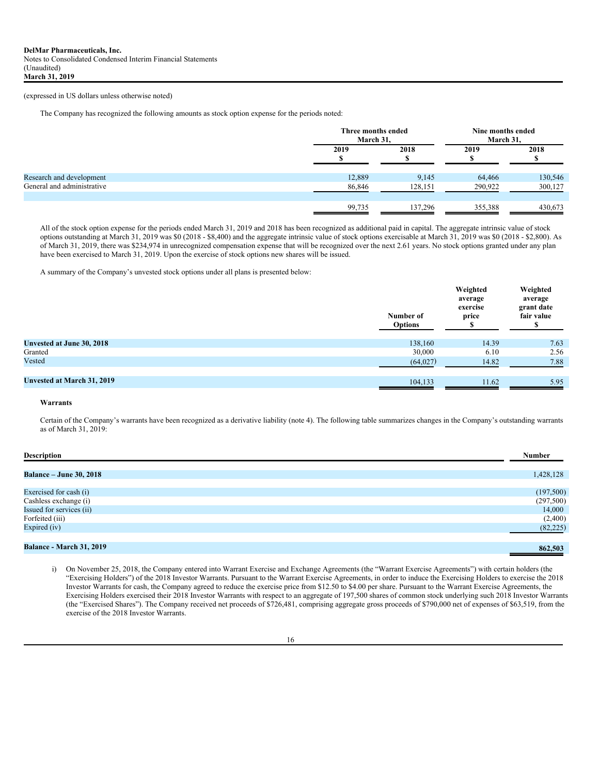Notes to Consolidated Condensed Interim Financial Statements (Unaudited) **March 31, 2019**

(expressed in US dollars unless otherwise noted)

The Company has recognized the following amounts as stock option expense for the periods noted:

|                            |        | Three months ended<br>March 31, |         | Nine months ended<br>March 31, |  |
|----------------------------|--------|---------------------------------|---------|--------------------------------|--|
|                            | 2019   | 2018                            | 2019    | 2018                           |  |
| Research and development   | 12,889 | 9,145                           | 64,466  | 130,546                        |  |
| General and administrative | 86,846 | 128,151                         | 290,922 | 300,127                        |  |
|                            | 99,735 | 137,296                         | 355,388 | 430,673                        |  |

All of the stock option expense for the periods ended March 31, 2019 and 2018 has been recognized as additional paid in capital. The aggregate intrinsic value of stock options outstanding at March 31, 2019 was \$0 (2018 - \$8,400) and the aggregate intrinsic value of stock options exercisable at March 31, 2019 was \$0 (2018 - \$2,800). As of March 31, 2019, there was \$234,974 in unrecognized compensation expense that will be recognized over the next 2.61 years. No stock options granted under any plan have been exercised to March 31, 2019. Upon the exercise of stock options new shares will be issued.

A summary of the Company's unvested stock options under all plans is presented below:

|                            | Number of<br><b>Options</b> | Weighted<br>average<br>exercise<br>price | Weighted<br>average<br>grant date<br>fair value |
|----------------------------|-----------------------------|------------------------------------------|-------------------------------------------------|
| Unvested at June 30, 2018  | 138,160                     | 14.39                                    | 7.63                                            |
| Granted                    | 30,000                      | 6.10                                     | 2.56                                            |
| Vested                     | (64, 027)                   | 14.82                                    | 7.88                                            |
|                            |                             |                                          |                                                 |
| Unvested at March 31, 2019 | 104,133                     | 11.62                                    | 5.95                                            |

### **Warrants**

Certain of the Company's warrants have been recognized as a derivative liability (note 4). The following table summarizes changes in the Company's outstanding warrants as of March 31, 2019:

| <b>Description</b>              | <b>Number</b> |
|---------------------------------|---------------|
|                                 |               |
| <b>Balance – June 30, 2018</b>  | 1,428,128     |
|                                 |               |
| Exercised for cash (i)          | (197,500)     |
| Cashless exchange (i)           | (297,500)     |
| Issued for services (ii)        | 14,000        |
| Forfeited (iii)                 | (2,400)       |
| Expired (iv)                    | (82, 225)     |
|                                 |               |
| <b>Balance - March 31, 2019</b> | 862,503       |

i) On November 25, 2018, the Company entered into Warrant Exercise and Exchange Agreements (the "Warrant Exercise Agreements") with certain holders (the "Exercising Holders") of the 2018 Investor Warrants. Pursuant to the Warrant Exercise Agreements, in order to induce the Exercising Holders to exercise the 2018 Investor Warrants for cash, the Company agreed to reduce the exercise price from \$12.50 to \$4.00 per share. Pursuant to the Warrant Exercise Agreements, the Exercising Holders exercised their 2018 Investor Warrants with respect to an aggregate of 197,500 shares of common stock underlying such 2018 Investor Warrants (the "Exercised Shares"). The Company received net proceeds of \$726,481, comprising aggregate gross proceeds of \$790,000 net of expenses of \$63,519, from the exercise of the 2018 Investor Warrants.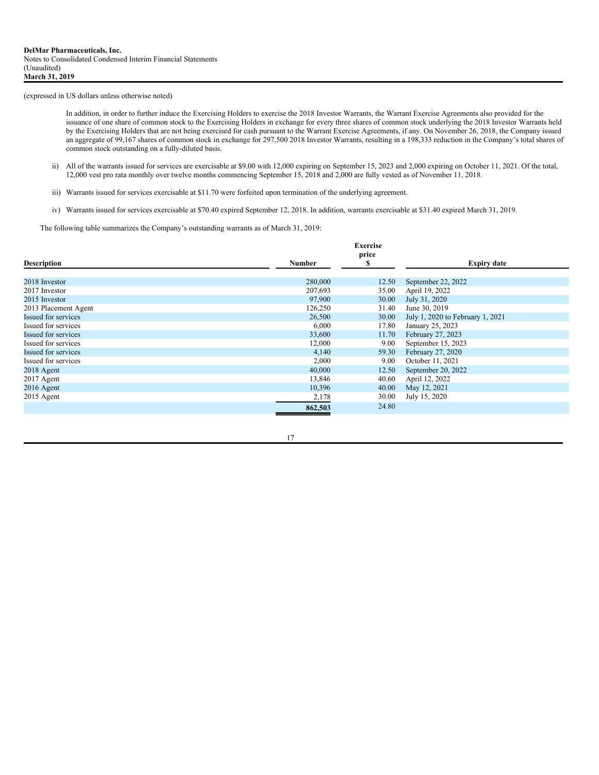In addition, in order to further induce the Exercising Holders to exercise the 2018 Investor Warrants, the Warrant Exercise Agreements also provided for the issuance of one share of common stock to the Exercising Holders in exchange for every three shares of common stock underlying the 2018 Investor Warrants held by the Exercising Holders that are not being exercised for cash pursuant to the Warrant Exercise Agreements, if any. On November 26, 2018, the Company issued an aggregate of 99,167 shares of common stock in exchange for 297,500 2018 Investor Warrants, resulting in a 198,333 reduction in the Company's total shares of common stock outstanding on a fully-diluted basis.

- ii) All of the warrants issued for services are exercisable at \$9.00 with 12,000 expiring on September 15, 2023 and 2,000 expiring on October 11, 2021. Of the total, 12,000 vest pro rata monthly over twelve months commencing September 15, 2018 and 2,000 are fully vested as of November 11, 2018.
- iii) Warrants issued for services exercisable at \$11.70 were forfeited upon termination of the underlying agreement.
- iv) Warrants issued for services exercisable at \$70.40 expired September 12, 2018. In addition, warrants exercisable at \$31.40 expired March 31, 2019.

The following table summarizes the Company's outstanding warrants as of March 31, 2019:

|                      |               | <b>Exercise</b><br>price |                                  |
|----------------------|---------------|--------------------------|----------------------------------|
| <b>Description</b>   | <b>Number</b> | S                        | <b>Expiry date</b>               |
|                      |               |                          |                                  |
| 2018 Investor        | 280,000       | 12.50                    | September 22, 2022               |
| 2017 Investor        | 207,693       | 35.00                    | April 19, 2022                   |
| 2015 Investor        | 97,900        | 30.00                    | July 31, 2020                    |
| 2013 Placement Agent | 126,250       | 31.40                    | June 30, 2019                    |
| Issued for services  | 26,500        | 30.00                    | July 1, 2020 to February 1, 2021 |
| Issued for services  | 6,000         | 17.80                    | January 25, 2023                 |
| Issued for services  | 33,600        | 11.70                    | February 27, 2023                |
| Issued for services  | 12,000        | 9.00                     | September 15, 2023               |
| Issued for services  | 4,140         | 59.30                    | February 27, 2020                |
| Issued for services  | 2,000         | 9.00                     | October 11, 2021                 |
| $2018$ Agent         | 40,000        | 12.50                    | September 20, 2022               |
| 2017 Agent           | 13,846        | 40.60                    | April 12, 2022                   |
| $2016$ Agent         | 10,396        | 40.00                    | May 12, 2021                     |
| 2015 Agent           | 2,178         | 30.00                    | July 15, 2020                    |
|                      | 862,503       | 24.80                    |                                  |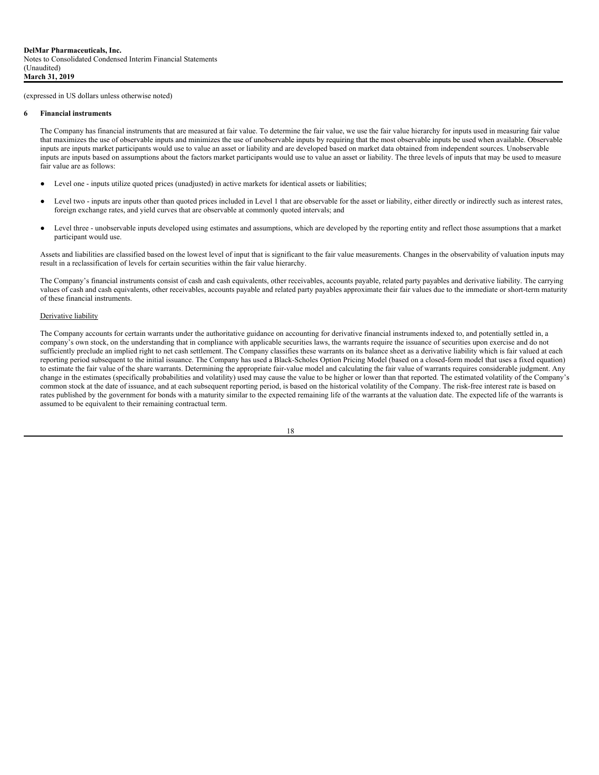#### **6 Financial instruments**

The Company has financial instruments that are measured at fair value. To determine the fair value, we use the fair value hierarchy for inputs used in measuring fair value that maximizes the use of observable inputs and minimizes the use of unobservable inputs by requiring that the most observable inputs be used when available. Observable inputs are inputs market participants would use to value an asset or liability and are developed based on market data obtained from independent sources. Unobservable inputs are inputs based on assumptions about the factors market participants would use to value an asset or liability. The three levels of inputs that may be used to measure fair value are as follows:

- Level one inputs utilize quoted prices (unadjusted) in active markets for identical assets or liabilities;
- Level two inputs are inputs other than quoted prices included in Level 1 that are observable for the asset or liability, either directly or indirectly such as interest rates, foreign exchange rates, and yield curves that are observable at commonly quoted intervals; and
- Level three unobservable inputs developed using estimates and assumptions, which are developed by the reporting entity and reflect those assumptions that a market participant would use.

Assets and liabilities are classified based on the lowest level of input that is significant to the fair value measurements. Changes in the observability of valuation inputs may result in a reclassification of levels for certain securities within the fair value hierarchy.

The Company's financial instruments consist of cash and cash equivalents, other receivables, accounts payable, related party payables and derivative liability. The carrying values of cash and cash equivalents, other receivables, accounts payable and related party payables approximate their fair values due to the immediate or short-term maturity of these financial instruments.

#### Derivative liability

The Company accounts for certain warrants under the authoritative guidance on accounting for derivative financial instruments indexed to, and potentially settled in, a company's own stock, on the understanding that in compliance with applicable securities laws, the warrants require the issuance of securities upon exercise and do not sufficiently preclude an implied right to net cash settlement. The Company classifies these warrants on its balance sheet as a derivative liability which is fair valued at each reporting period subsequent to the initial issuance. The Company has used a Black-Scholes Option Pricing Model (based on a closed-form model that uses a fixed equation) to estimate the fair value of the share warrants. Determining the appropriate fair-value model and calculating the fair value of warrants requires considerable judgment. Any change in the estimates (specifically probabilities and volatility) used may cause the value to be higher or lower than that reported. The estimated volatility of the Company's common stock at the date of issuance, and at each subsequent reporting period, is based on the historical volatility of the Company. The risk-free interest rate is based on rates published by the government for bonds with a maturity similar to the expected remaining life of the warrants at the valuation date. The expected life of the warrants is assumed to be equivalent to their remaining contractual term.

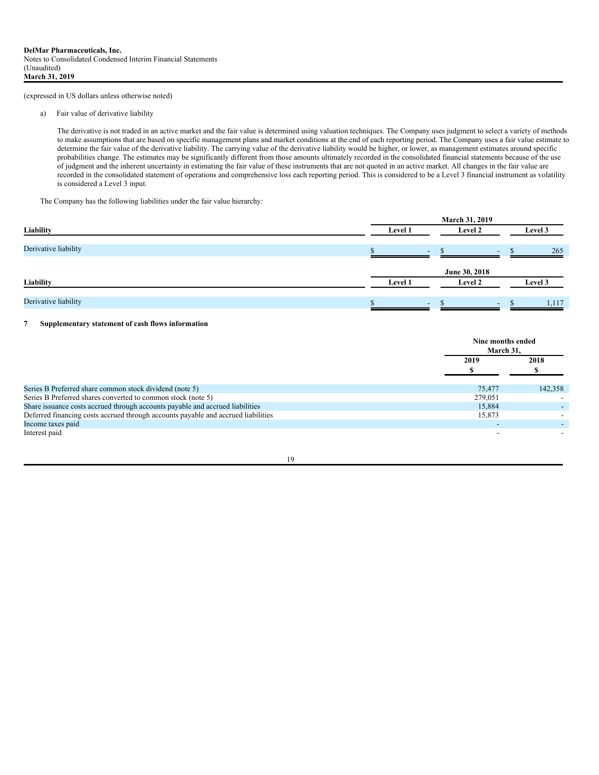a) Fair value of derivative liability

The derivative is not traded in an active market and the fair value is determined using valuation techniques. The Company uses judgment to select a variety of methods to make assumptions that are based on specific management plans and market conditions at the end of each reporting period. The Company uses a fair value estimate to determine the fair value of the derivative liability. The carrying value of the derivative liability would be higher, or lower, as management estimates around specific probabilities change. The estimates may be significantly different from those amounts ultimately recorded in the consolidated financial statements because of the use of judgment and the inherent uncertainty in estimating the fair value of these instruments that are not quoted in an active market. All changes in the fair value are recorded in the consolidated statement of operations and comprehensive loss each reporting period. This is considered to be a Level 3 financial instrument as volatility is considered a Level 3 input.

The Company has the following liabilities under the fair value hierarchy:

|                      |         | March 31, 2019                                       |         |  |  |
|----------------------|---------|------------------------------------------------------|---------|--|--|
| Liability            | Level 1 | <b>Level 2</b>                                       | Level 3 |  |  |
| Derivative liability |         | $\overline{\phantom{0}}$<br>$\overline{\phantom{0}}$ | 265     |  |  |
|                      |         | June 30, 2018                                        |         |  |  |
| Liability            | Level 1 | <b>Level 2</b>                                       | Level 3 |  |  |
| Derivative liability |         | $\overline{a}$<br>$\overline{\phantom{0}}$           | 1,117   |  |  |

### **7 Supplementary statement of cash flows information**

|                                                                                   |         | Nine months ended<br>March 31, |  |
|-----------------------------------------------------------------------------------|---------|--------------------------------|--|
|                                                                                   | 2019    | 2018                           |  |
| Series B Preferred share common stock dividend (note 5)                           | 75,477  | 142,358                        |  |
| Series B Preferred shares converted to common stock (note 5)                      | 279.051 |                                |  |
| Share issuance costs accrued through accounts payable and accrued liabilities     | 15.884  |                                |  |
| Deferred financing costs accrued through accounts payable and accrued liabilities | 15,873  |                                |  |
| Income taxes paid                                                                 |         |                                |  |
| Interest paid                                                                     |         |                                |  |

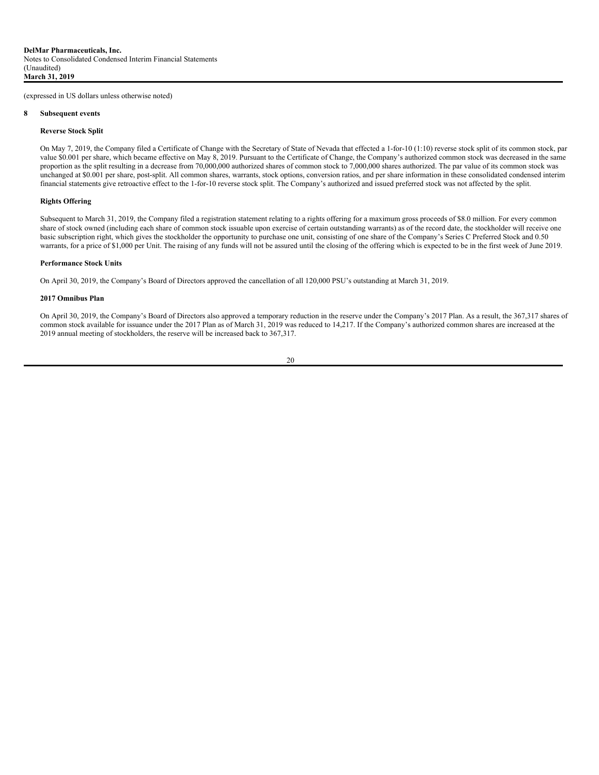#### **8 Subsequent events**

#### **Reverse Stock Split**

On May 7, 2019, the Company filed a Certificate of Change with the Secretary of State of Nevada that effected a 1-for-10 (1:10) reverse stock split of its common stock, par value \$0.001 per share, which became effective on May 8, 2019. Pursuant to the Certificate of Change, the Company's authorized common stock was decreased in the same proportion as the split resulting in a decrease from 70,000,000 authorized shares of common stock to 7,000,000 shares authorized. The par value of its common stock was unchanged at \$0.001 per share, post-split. All common shares, warrants, stock options, conversion ratios, and per share information in these consolidated condensed interim financial statements give retroactive effect to the 1-for-10 reverse stock split. The Company's authorized and issued preferred stock was not affected by the split.

#### **Rights Offering**

Subsequent to March 31, 2019, the Company filed a registration statement relating to a rights offering for a maximum gross proceeds of \$8.0 million. For every common share of stock owned (including each share of common stock issuable upon exercise of certain outstanding warrants) as of the record date, the stockholder will receive one basic subscription right, which gives the stockholder the opportunity to purchase one unit, consisting of one share of the Company's Series C Preferred Stock and 0.50 warrants, for a price of \$1,000 per Unit. The raising of any funds will not be assured until the closing of the offering which is expected to be in the first week of June 2019.

#### **Performance Stock Units**

On April 30, 2019, the Company's Board of Directors approved the cancellation of all 120,000 PSU's outstanding at March 31, 2019.

#### **2017 Omnibus Plan**

On April 30, 2019, the Company's Board of Directors also approved a temporary reduction in the reserve under the Company's 2017 Plan. As a result, the 367,317 shares of common stock available for issuance under the 2017 Plan as of March 31, 2019 was reduced to 14,217. If the Company's authorized common shares are increased at the 2019 annual meeting of stockholders, the reserve will be increased back to 367,317.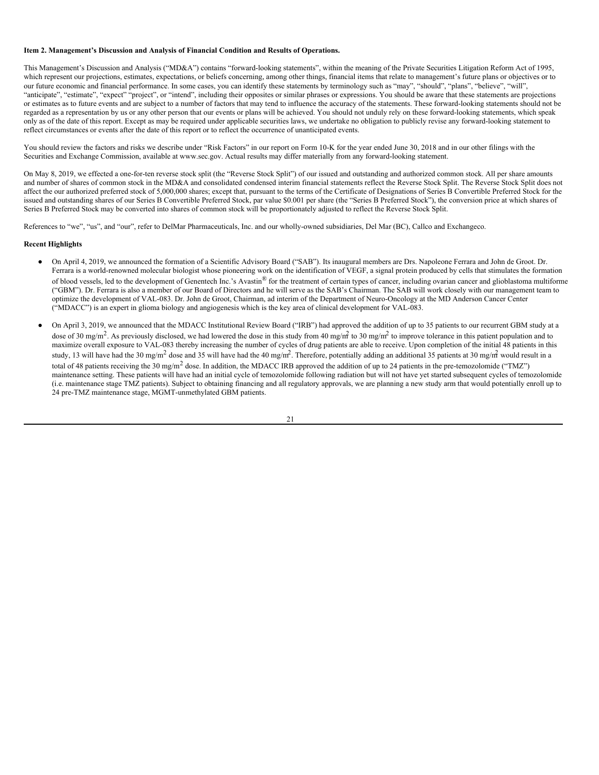#### **Item 2. Management's Discussion and Analysis of Financial Condition and Results of Operations.**

This Management's Discussion and Analysis ("MD&A") contains "forward-looking statements", within the meaning of the Private Securities Litigation Reform Act of 1995, which represent our projections, estimates, expectations, or beliefs concerning, among other things, financial items that relate to management's future plans or objectives or to our future economic and financial performance. In some cases, you can identify these statements by terminology such as "may", "should", "plans", "believe", "will", "anticipate", "estimate", "expect" "project", or "intend", including their opposites or similar phrases or expressions. You should be aware that these statements are projections or estimates as to future events and are subject to a number of factors that may tend to influence the accuracy of the statements. These forward-looking statements should not be regarded as a representation by us or any other person that our events or plans will be achieved. You should not unduly rely on these forward-looking statements, which speak only as of the date of this report. Except as may be required under applicable securities laws, we undertake no obligation to publicly revise any forward-looking statement to reflect circumstances or events after the date of this report or to reflect the occurrence of unanticipated events.

You should review the factors and risks we describe under "Risk Factors" in our report on Form 10-K for the year ended June 30, 2018 and in our other filings with the Securities and Exchange Commission, available at www.sec.gov. Actual results may differ materially from any forward-looking statement.

On May 8, 2019, we effected a one-for-ten reverse stock split (the "Reverse Stock Split") of our issued and outstanding and authorized common stock. All per share amounts and number of shares of common stock in the MD&A and consolidated condensed interim financial statements reflect the Reverse Stock Split. The Reverse Stock Split does not affect the our authorized preferred stock of 5,000,000 shares; except that, pursuant to the terms of the Certificate of Designations of Series B Convertible Preferred Stock for the issued and outstanding shares of our Series B Convertible Preferred Stock, par value \$0.001 per share (the "Series B Preferred Stock"), the conversion price at which shares of Series B Preferred Stock may be converted into shares of common stock will be proportionately adjusted to reflect the Reverse Stock Split.

References to "we", "us", and "our", refer to DelMar Pharmaceuticals, Inc. and our wholly-owned subsidiaries, Del Mar (BC), Callco and Exchangeco.

#### **Recent Highlights**

- On April 4, 2019, we announced the formation of a Scientific Advisory Board ("SAB"). Its inaugural members are Drs. Napoleone Ferrara and John de Groot. Dr. Ferrara is a world-renowned molecular biologist whose pioneering work on the identification of VEGF, a signal protein produced by cells that stimulates the formation of blood vessels, led to the development of Genentech Inc.'s Avastin<sup>®</sup> for the treatment of certain types of cancer, including ovarian cancer and glioblastoma multiforme ("GBM"). Dr. Ferrara is also a member of our Board of Directors and he will serve as the SAB's Chairman. The SAB will work closely with our management team to optimize the development of VAL-083. Dr. John de Groot, Chairman, ad interim of the Department of Neuro-Oncology at the MD Anderson Cancer Center ("MDACC") is an expert in glioma biology and angiogenesis which is the key area of clinical development for VAL-083.
- On April 3, 2019, we announced that the MDACC Institutional Review Board ("IRB") had approved the addition of up to 35 patients to our recurrent GBM study at a dose of 30 mg/m<sup>2</sup>. As previously disclosed, we had lowered the dose in this study from 40 mg/m<sup>2</sup> to 30 mg/m<sup>2</sup> to improve tolerance in this patient population and to maximize overall exposure to VAL-083 thereby increasing the number of cycles of drug patients are able to receive. Upon completion of the initial 48 patients in this study, 13 will have had the 30 mg/m<sup>2</sup> dose and 35 will have had the 40 mg/m<sup>2</sup>. Therefore, potentially adding an additional 35 patients at 30 mg/m<sup>2</sup> would result in a total of 48 patients receiving the 30 mg/m<sup>2</sup> dose. In addition, the MDACC IRB approved the addition of up to 24 patients in the pre-temozolomide ("TMZ") maintenance setting. These patients will have had an initial cycle of temozolomide following radiation but will not have yet started subsequent cycles of temozolomide (i.e. maintenance stage TMZ patients). Subject to obtaining financing and all regulatory approvals, we are planning a new study arm that would potentially enroll up to 24 pre-TMZ maintenance stage, MGMT-unmethylated GBM patients.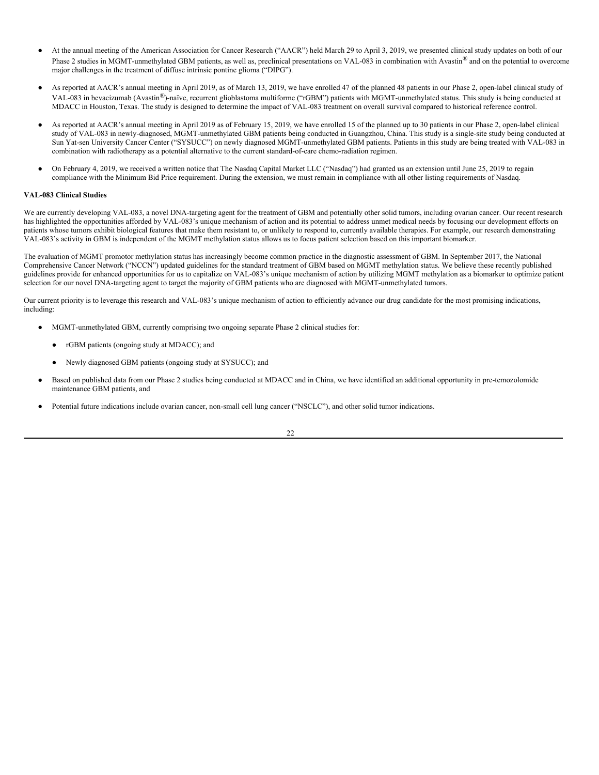- At the annual meeting of the American Association for Cancer Research ("AACR") held March 29 to April 3, 2019, we presented clinical study updates on both of our Phase 2 studies in MGMT-unmethylated GBM patients, as well as, preclinical presentations on VAL-083 in combination with Avastin<sup>®</sup> and on the potential to overcome major challenges in the treatment of diffuse intrinsic pontine glioma ("DIPG").
- As reported at AACR's annual meeting in April 2019, as of March 13, 2019, we have enrolled 47 of the planned 48 patients in our Phase 2, open-label clinical study of VAL-083 in bevacizumab (Avastin®)-naïve, recurrent glioblastoma multiforme ("rGBM") patients with MGMT-unmethylated status. This study is being conducted at MDACC in Houston, Texas. The study is designed to determine the impact of VAL-083 treatment on overall survival compared to historical reference control.
- As reported at AACR's annual meeting in April 2019 as of February 15, 2019, we have enrolled 15 of the planned up to 30 patients in our Phase 2, open-label clinical study of VAL-083 in newly-diagnosed, MGMT-unmethylated GBM patients being conducted in Guangzhou, China. This study is a single-site study being conducted at Sun Yat-sen University Cancer Center ("SYSUCC") on newly diagnosed MGMT-unmethylated GBM patients. Patients in this study are being treated with VAL-083 in combination with radiotherapy as a potential alternative to the current standard-of-care chemo-radiation regimen.
- On February 4, 2019, we received a written notice that The Nasdaq Capital Market LLC ("Nasdaq") had granted us an extension until June 25, 2019 to regain compliance with the Minimum Bid Price requirement. During the extension, we must remain in compliance with all other listing requirements of Nasdaq.

#### **VAL-083 Clinical Studies**

We are currently developing VAL-083, a novel DNA-targeting agent for the treatment of GBM and potentially other solid tumors, including ovarian cancer. Our recent research has highlighted the opportunities afforded by VAL-083's unique mechanism of action and its potential to address unmet medical needs by focusing our development efforts on patients whose tumors exhibit biological features that make them resistant to, or unlikely to respond to, currently available therapies. For example, our research demonstrating VAL-083's activity in GBM is independent of the MGMT methylation status allows us to focus patient selection based on this important biomarker.

The evaluation of MGMT promotor methylation status has increasingly become common practice in the diagnostic assessment of GBM. In September 2017, the National Comprehensive Cancer Network ("NCCN") updated guidelines for the standard treatment of GBM based on MGMT methylation status. We believe these recently published guidelines provide for enhanced opportunities for us to capitalize on VAL-083's unique mechanism of action by utilizing MGMT methylation as a biomarker to optimize patient selection for our novel DNA-targeting agent to target the majority of GBM patients who are diagnosed with MGMT-unmethylated tumors.

Our current priority is to leverage this research and VAL-083's unique mechanism of action to efficiently advance our drug candidate for the most promising indications, including:

- MGMT-unmethylated GBM, currently comprising two ongoing separate Phase 2 clinical studies for:
	- rGBM patients (ongoing study at MDACC); and
	- Newly diagnosed GBM patients (ongoing study at SYSUCC); and
- Based on published data from our Phase 2 studies being conducted at MDACC and in China, we have identified an additional opportunity in pre-temozolomide maintenance GBM patients, and
- Potential future indications include ovarian cancer, non-small cell lung cancer ("NSCLC"), and other solid tumor indications.

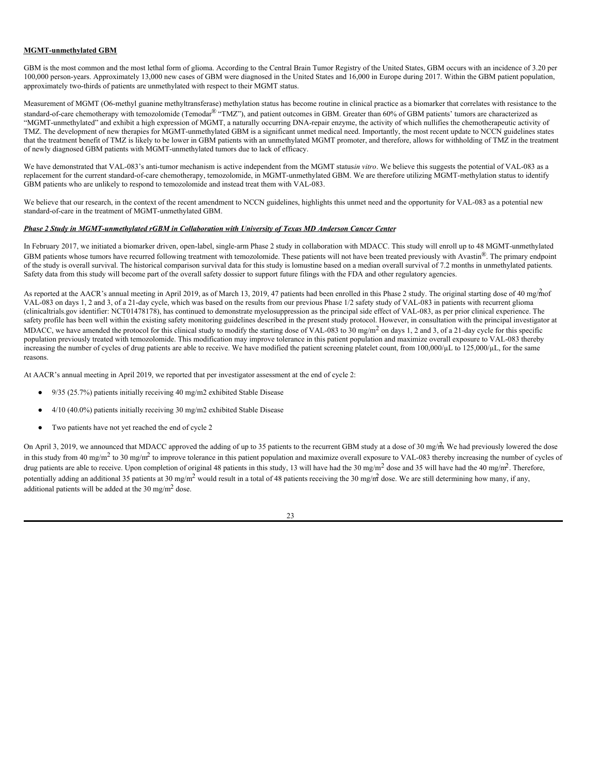### **MGMT-unmethylated GBM**

GBM is the most common and the most lethal form of glioma. According to the Central Brain Tumor Registry of the United States, GBM occurs with an incidence of 3.20 per 100,000 person-years. Approximately 13,000 new cases of GBM were diagnosed in the United States and 16,000 in Europe during 2017. Within the GBM patient population, approximately two-thirds of patients are unmethylated with respect to their MGMT status.

Measurement of MGMT (O6-methyl guanine methyltransferase) methylation status has become routine in clinical practice as a biomarker that correlates with resistance to the

standard-of-care chemotherapy with temozolomide (Temodar® "TMZ"), and patient outcomes in GBM. Greater than 60% of GBM patients' tumors are characterized as "MGMT-unmethylated" and exhibit a high expression of MGMT, a naturally occurring DNA-repair enzyme, the activity of which nullifies the chemotherapeutic activity of TMZ. The development of new therapies for MGMT-unmethylated GBM is a significant unmet medical need. Importantly, the most recent update to NCCN guidelines states that the treatment benefit of TMZ is likely to be lower in GBM patients with an unmethylated MGMT promoter, and therefore, allows for withholding of TMZ in the treatment of newly diagnosed GBM patients with MGMT-unmethylated tumors due to lack of efficacy.

We have demonstrated that VAL-083's anti-tumor mechanism is active independent from the MGMT status*in vitro*. We believe this suggests the potential of VAL-083 as a replacement for the current standard-of-care chemotherapy, temozolomide, in MGMT-unmethylated GBM. We are therefore utilizing MGMT-methylation status to identify GBM patients who are unlikely to respond to temozolomide and instead treat them with VAL-083.

We believe that our research, in the context of the recent amendment to NCCN guidelines, highlights this unmet need and the opportunity for VAL-083 as a potential new standard-of-care in the treatment of MGMT-unmethylated GBM.

#### *Phase 2 Study in MGMT-unmethylated rGBM in Collaboration with University of Texas MD Anderson Cancer Center*

In February 2017, we initiated a biomarker driven, open-label, single-arm Phase 2 study in collaboration with MDACC. This study will enroll up to 48 MGMT-unmethylated GBM patients whose tumors have recurred following treatment with temozolomide. These patients will not have been treated previously with Avastin<sup>®</sup>. The primary endpoint of the study is overall survival. The historical comparison survival data for this study is lomustine based on a median overall survival of 7.2 months in unmethylated patients. Safety data from this study will become part of the overall safety dossier to support future filings with the FDA and other regulatory agencies.

As reported at the AACR's annual meeting in April 2019, as of March 13, 2019, 47 patients had been enrolled in this Phase 2 study. The original starting dose of 40 mg/mof VAL-083 on days 1, 2 and 3, of a 21-day cycle, which was based on the results from our previous Phase 1/2 safety study of VAL-083 in patients with recurrent glioma (clinicaltrials.gov identifier: NCT01478178), has continued to demonstrate myelosuppression as the principal side effect of VAL-083, as per prior clinical experience. The safety profile has been well within the existing safety monitoring guidelines described in the present study protocol. However, in consultation with the principal investigator at MDACC, we have amended the protocol for this clinical study to modify the starting dose of VAL-083 to 30 mg/m<sup>2</sup> on days 1, 2 and 3, of a 21-day cycle for this specific population previously treated with temozolomide. This modification may improve tolerance in this patient population and maximize overall exposure to VAL-083 thereby increasing the number of cycles of drug patients are able to receive. We have modified the patient screening platelet count, from 100,000/µL to 125,000/µL, for the same reasons.

At AACR's annual meeting in April 2019, we reported that per investigator assessment at the end of cycle 2:

- 9/35 (25.7%) patients initially receiving 40 mg/m2 exhibited Stable Disease
- 4/10 (40.0%) patients initially receiving 30 mg/m2 exhibited Stable Disease
- Two patients have not yet reached the end of cycle 2

On April 3, 2019, we announced that MDACC approved the adding of up to 35 patients to the recurrent GBM study at a dose of 30 mg/m. We had previously lowered the dose in this study from 40 mg/m<sup>2</sup> to 30 mg/m<sup>2</sup> to improve tolerance in this patient population and maximize overall exposure to VAL-083 thereby increasing the number of cycles of drug patients are able to receive. Upon completion of original 48 patients in this study, 13 will have had the 30 mg/m<sup>2</sup> dose and 35 will have had the 40 mg/m<sup>2</sup>. Therefore, potentially adding an additional 35 patients at 30 mg/m<sup>2</sup> would result in a total of 48 patients receiving the 30 mg/m<sup>2</sup> dose. We are still determining how many, if any, additional patients will be added at the  $30 \text{ mg/m}^2$  dose.

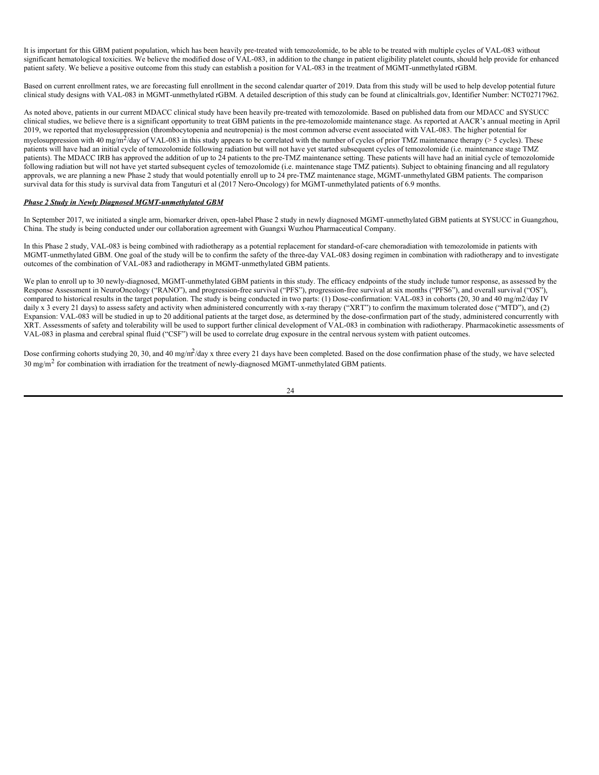It is important for this GBM patient population, which has been heavily pre-treated with temozolomide, to be able to be treated with multiple cycles of VAL-083 without significant hematological toxicities. We believe the modified dose of VAL-083, in addition to the change in patient eligibility platelet counts, should help provide for enhanced patient safety. We believe a positive outcome from this study can establish a position for VAL-083 in the treatment of MGMT-unmethylated rGBM.

Based on current enrollment rates, we are forecasting full enrollment in the second calendar quarter of 2019. Data from this study will be used to help develop potential future clinical study designs with VAL-083 in MGMT-unmethylated rGBM. A detailed description of this study can be found at clinicaltrials.gov, Identifier Number: NCT02717962.

As noted above, patients in our current MDACC clinical study have been heavily pre-treated with temozolomide. Based on published data from our MDACC and SYSUCC clinical studies, we believe there is a significant opportunity to treat GBM patients in the pre-temozolomide maintenance stage. As reported at AACR's annual meeting in April 2019, we reported that myelosuppression (thrombocytopenia and neutropenia) is the most common adverse event associated with VAL-083. The higher potential for myelosuppression with 40 mg/m<sup>2</sup>/day of VAL-083 in this study appears to be correlated with the number of cycles of prior TMZ maintenance therapy (> 5 cycles). These patients will have had an initial cycle of temozolomide following radiation but will not have yet started subsequent cycles of temozolomide (i.e. maintenance stage TMZ patients). The MDACC IRB has approved the addition of up to 24 patients to the pre-TMZ maintenance setting. These patients will have had an initial cycle of temozolomide following radiation but will not have yet started subsequent cycles of temozolomide (i.e. maintenance stage TMZ patients). Subject to obtaining financing and all regulatory approvals, we are planning a new Phase 2 study that would potentially enroll up to 24 pre-TMZ maintenance stage, MGMT-unmethylated GBM patients. The comparison survival data for this study is survival data from Tanguturi et al (2017 Nero-Oncology) for MGMT-unmethylated patients of 6.9 months.

#### *Phase 2 Study in Newly Diagnosed MGMT-unmethylated GBM*

In September 2017, we initiated a single arm, biomarker driven, open-label Phase 2 study in newly diagnosed MGMT-unmethylated GBM patients at SYSUCC in Guangzhou, China. The study is being conducted under our collaboration agreement with Guangxi Wuzhou Pharmaceutical Company.

In this Phase 2 study, VAL-083 is being combined with radiotherapy as a potential replacement for standard-of-care chemoradiation with temozolomide in patients with MGMT-unmethylated GBM. One goal of the study will be to confirm the safety of the three-day VAL-083 dosing regimen in combination with radiotherapy and to investigate outcomes of the combination of VAL-083 and radiotherapy in MGMT-unmethylated GBM patients.

We plan to enroll up to 30 newly-diagnosed, MGMT-unmethylated GBM patients in this study. The efficacy endpoints of the study include tumor response, as assessed by the Response Assessment in NeuroOncology ("RANO"), and progression-free survival ("PFS"), progression-free survival at six months ("PFS6"), and overall survival ("OS"), compared to historical results in the target population. The study is being conducted in two parts: (1) Dose-confirmation: VAL-083 in cohorts (20, 30 and 40 mg/m2/day IV daily x 3 every 21 days) to assess safety and activity when administered concurrently with x-ray therapy ("XRT") to confirm the maximum tolerated dose ("MTD"), and (2) Expansion: VAL-083 will be studied in up to 20 additional patients at the target dose, as determined by the dose-confirmation part of the study, administered concurrently with XRT. Assessments of safety and tolerability will be used to support further clinical development of VAL-083 in combination with radiotherapy. Pharmacokinetic assessments of VAL-083 in plasma and cerebral spinal fluid ("CSF") will be used to correlate drug exposure in the central nervous system with patient outcomes.

Dose confirming cohorts studying 20, 30, and 40 mg/m<sup>2</sup>/day x three every 21 days have been completed. Based on the dose confirmation phase of the study, we have selected 30 mg/m<sup>2</sup> for combination with irradiation for the treatment of newly-diagnosed MGMT-unmethylated GBM patients.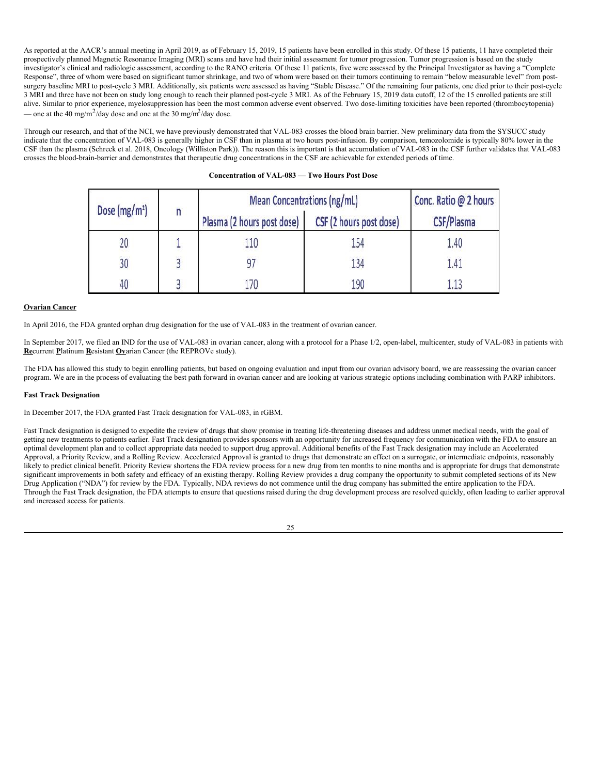As reported at the AACR's annual meeting in April 2019, as of February 15, 2019, 15 patients have been enrolled in this study. Of these 15 patients, 11 have completed their prospectively planned Magnetic Resonance Imaging (MRI) scans and have had their initial assessment for tumor progression. Tumor progression is based on the study investigator's clinical and radiologic assessment, according to the RANO criteria. Of these 11 patients, five were assessed by the Principal Investigator as having a "Complete Response", three of whom were based on significant tumor shrinkage, and two of whom were based on their tumors continuing to remain "below measurable level" from postsurgery baseline MRI to post-cycle 3 MRI. Additionally, six patients were assessed as having "Stable Disease." Of the remaining four patients, one died prior to their post-cycle 3 MRI and three have not been on study long enough to reach their planned post-cycle 3 MRI. As of the February 15, 2019 data cutoff, 12 of the 15 enrolled patients are still alive. Similar to prior experience, myelosuppression has been the most common adverse event observed. Two dose-limiting toxicities have been reported (thrombocytopenia) — one at the 40 mg/m<sup>2</sup>/day dose and one at the 30 mg/m<sup>2</sup>/day dose.

Through our research, and that of the NCI, we have previously demonstrated that VAL-083 crosses the blood brain barrier. New preliminary data from the SYSUCC study indicate that the concentration of VAL-083 is generally higher in CSF than in plasma at two hours post-infusion. By comparison, temozolomide is typically 80% lower in the CSF than the plasma (Schreck et al. 2018, Oncology (Williston Park)). The reason this is important is that accumulation of VAL-083 in the CSF further validates that VAL-083 crosses the blood-brain-barrier and demonstrates that therapeutic drug concentrations in the CSF are achievable for extended periods of time.

| Dose $(mg/m2)$<br>n |  | <b>Mean Concentrations (ng/mL)</b> | Conc. Ratio @ 2 hours   |                   |
|---------------------|--|------------------------------------|-------------------------|-------------------|
|                     |  | Plasma (2 hours post dose)         | CSF (2 hours post dose) | <b>CSF/Plasma</b> |
| 20                  |  | 110                                | 154                     | 1.40              |
| 30                  |  |                                    | 134                     | 1.41              |
| 40                  |  | 170                                | 190                     | 1.13              |

#### **Concentration of VAL-083 — Two Hours Post Dose**

#### **Ovarian Cancer**

In April 2016, the FDA granted orphan drug designation for the use of VAL-083 in the treatment of ovarian cancer.

In September 2017, we filed an IND for the use of VAL-083 in ovarian cancer, along with a protocol for a Phase 1/2, open-label, multicenter, study of VAL-083 in patients with **Re**current **P**latinum **R**esistant **Ov**arian Cancer (the REPROVe study).

The FDA has allowed this study to begin enrolling patients, but based on ongoing evaluation and input from our ovarian advisory board, we are reassessing the ovarian cancer program. We are in the process of evaluating the best path forward in ovarian cancer and are looking at various strategic options including combination with PARP inhibitors.

#### **Fast Track Designation**

In December 2017, the FDA granted Fast Track designation for VAL-083, in rGBM.

Fast Track designation is designed to expedite the review of drugs that show promise in treating life-threatening diseases and address unmet medical needs, with the goal of getting new treatments to patients earlier. Fast Track designation provides sponsors with an opportunity for increased frequency for communication with the FDA to ensure an optimal development plan and to collect appropriate data needed to support drug approval. Additional benefits of the Fast Track designation may include an Accelerated Approval, a Priority Review, and a Rolling Review. Accelerated Approval is granted to drugs that demonstrate an effect on a surrogate, or intermediate endpoints, reasonably likely to predict clinical benefit. Priority Review shortens the FDA review process for a new drug from ten months to nine months and is appropriate for drugs that demonstrate significant improvements in both safety and efficacy of an existing therapy. Rolling Review provides a drug company the opportunity to submit completed sections of its New Drug Application ("NDA") for review by the FDA. Typically, NDA reviews do not commence until the drug company has submitted the entire application to the FDA. Through the Fast Track designation, the FDA attempts to ensure that questions raised during the drug development process are resolved quickly, often leading to earlier approval and increased access for patients.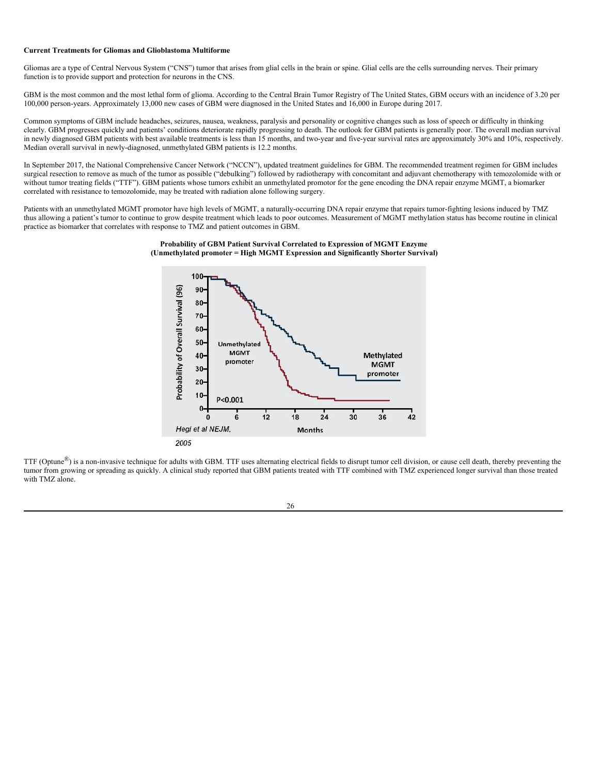#### **Current Treatments for Gliomas and Glioblastoma Multiforme**

Gliomas are a type of Central Nervous System ("CNS") tumor that arises from glial cells in the brain or spine. Glial cells are the cells surrounding nerves. Their primary function is to provide support and protection for neurons in the CNS.

GBM is the most common and the most lethal form of glioma. According to the Central Brain Tumor Registry of The United States, GBM occurs with an incidence of 3.20 per 100,000 person-years. Approximately 13,000 new cases of GBM were diagnosed in the United States and 16,000 in Europe during 2017.

Common symptoms of GBM include headaches, seizures, nausea, weakness, paralysis and personality or cognitive changes such as loss of speech or difficulty in thinking clearly. GBM progresses quickly and patients' conditions deteriorate rapidly progressing to death. The outlook for GBM patients is generally poor. The overall median survival in newly diagnosed GBM patients with best available treatments is less than 15 months, and two-year and five-year survival rates are approximately 30% and 10%, respectively. Median overall survival in newly-diagnosed, unmethylated GBM patients is 12.2 months.

In September 2017, the National Comprehensive Cancer Network ("NCCN"), updated treatment guidelines for GBM. The recommended treatment regimen for GBM includes surgical resection to remove as much of the tumor as possible ("debulking") followed by radiotherapy with concomitant and adjuvant chemotherapy with temozolomide with or without tumor treating fields ("TTF"). GBM patients whose tumors exhibit an unmethylated promotor for the gene encoding the DNA repair enzyme MGMT, a biomarker correlated with resistance to temozolomide, may be treated with radiation alone following surgery.

Patients with an unmethylated MGMT promotor have high levels of MGMT, a naturally-occurring DNA repair enzyme that repairs tumor-fighting lesions induced by TMZ thus allowing a patient's tumor to continue to grow despite treatment which leads to poor outcomes. Measurement of MGMT methylation status has become routine in clinical practice as biomarker that correlates with response to TMZ and patient outcomes in GBM.



**Probability of GBM Patient Survival Correlated to Expression of MGMT Enzyme (Unmethylated promoter = High MGMT Expression and Significantly Shorter Survival)**

TTF (Optune<sup>®</sup>) is a non-invasive technique for adults with GBM. TTF uses alternating electrical fields to disrupt tumor cell division, or cause cell death, thereby preventing the tumor from growing or spreading as quickly. A clinical study reported that GBM patients treated with TTF combined with TMZ experienced longer survival than those treated with TMZ alone.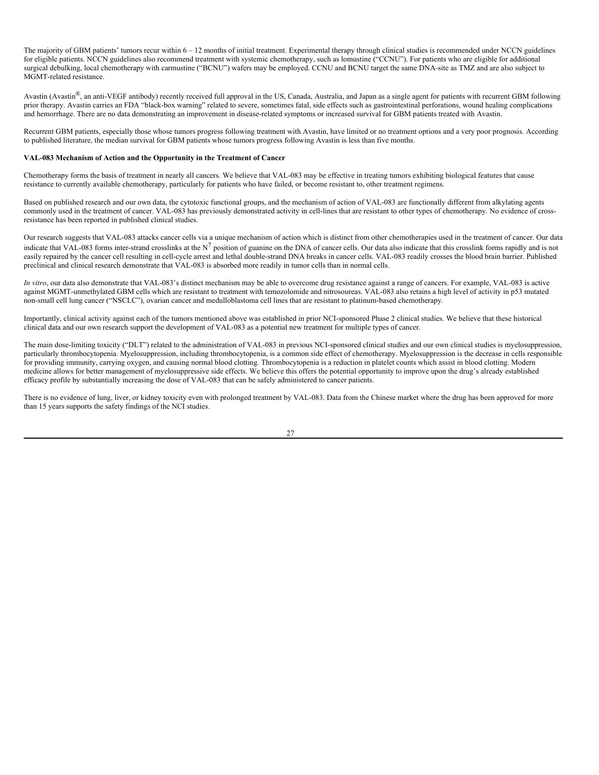The majority of GBM patients' tumors recur within 6 – 12 months of initial treatment. Experimental therapy through clinical studies is recommended under NCCN guidelines for eligible patients. NCCN guidelines also recommend treatment with systemic chemotherapy, such as lomustine ("CCNU"). For patients who are eligible for additional surgical debulking, local chemotherapy with carmustine ("BCNU") wafers may be employed. CCNU and BCNU target the same DNA-site as TMZ and are also subject to MGMT-related resistance.

Avastin (Avastin<sup>®</sup>, an anti-VEGF antibody) recently received full approval in the US, Canada, Australia, and Japan as a single agent for patients with recurrent GBM following prior therapy. Avastin carries an FDA "black-box warning" related to severe, sometimes fatal, side effects such as gastrointestinal perforations, wound healing complications and hemorrhage. There are no data demonstrating an improvement in disease-related symptoms or increased survival for GBM patients treated with Avastin.

Recurrent GBM patients, especially those whose tumors progress following treatment with Avastin, have limited or no treatment options and a very poor prognosis. According to published literature, the median survival for GBM patients whose tumors progress following Avastin is less than five months.

#### **VAL-083 Mechanism of Action and the Opportunity in the Treatment of Cancer**

Chemotherapy forms the basis of treatment in nearly all cancers. We believe that VAL-083 may be effective in treating tumors exhibiting biological features that cause resistance to currently available chemotherapy, particularly for patients who have failed, or become resistant to, other treatment regimens.

Based on published research and our own data, the cytotoxic functional groups, and the mechanism of action of VAL-083 are functionally different from alkylating agents commonly used in the treatment of cancer. VAL-083 has previously demonstrated activity in cell-lines that are resistant to other types of chemotherapy. No evidence of crossresistance has been reported in published clinical studies.

Our research suggests that VAL-083 attacks cancer cells via a unique mechanism of action which is distinct from other chemotherapies used in the treatment of cancer. Our data indicate that VAL-083 forms inter-strand crosslinks at the  $N^7$  position of guanine on the DNA of cancer cells. Our data also indicate that this crosslink forms rapidly and is not easily repaired by the cancer cell resulting in cell-cycle arrest and lethal double-strand DNA breaks in cancer cells. VAL-083 readily crosses the blood brain barrier. Published preclinical and clinical research demonstrate that VAL-083 is absorbed more readily in tumor cells than in normal cells.

*In vitro*, our data also demonstrate that VAL-083's distinct mechanism may be able to overcome drug resistance against a range of cancers. For example, VAL-083 is active against MGMT-unmethylated GBM cells which are resistant to treatment with temozolomide and nitrosoureas. VAL-083 also retains a high level of activity in p53 mutated non-small cell lung cancer ("NSCLC"), ovarian cancer and medulloblastoma cell lines that are resistant to platinum-based chemotherapy.

Importantly, clinical activity against each of the tumors mentioned above was established in prior NCI-sponsored Phase 2 clinical studies. We believe that these historical clinical data and our own research support the development of VAL-083 as a potential new treatment for multiple types of cancer.

The main dose-limiting toxicity ("DLT") related to the administration of VAL-083 in previous NCI-sponsored clinical studies and our own clinical studies is myelosuppression, particularly thrombocytopenia. Myelosuppression, including thrombocytopenia, is a common side effect of chemotherapy. Myelosuppression is the decrease in cells responsible for providing immunity, carrying oxygen, and causing normal blood clotting. Thrombocytopenia is a reduction in platelet counts which assist in blood clotting. Modern medicine allows for better management of myelosuppressive side effects. We believe this offers the potential opportunity to improve upon the drug's already established efficacy profile by substantially increasing the dose of VAL-083 that can be safely administered to cancer patients.

There is no evidence of lung, liver, or kidney toxicity even with prolonged treatment by VAL-083. Data from the Chinese market where the drug has been approved for more than 15 years supports the safety findings of the NCI studies.

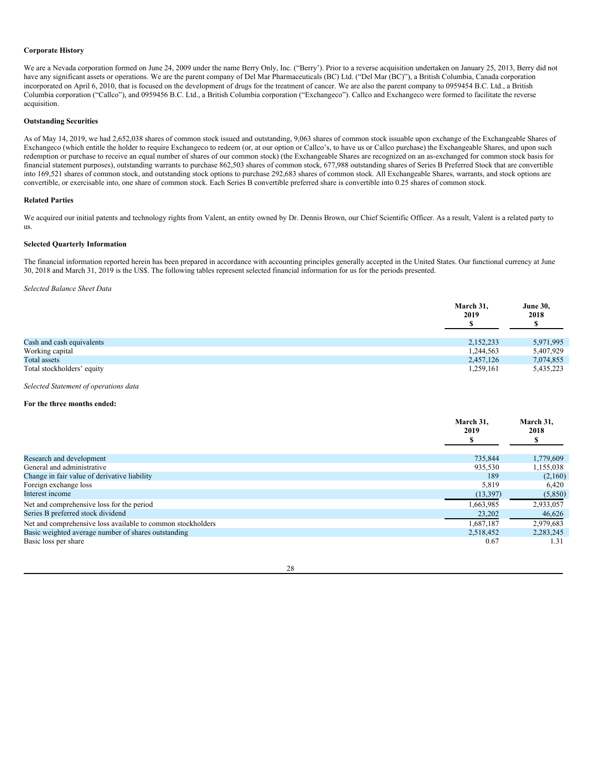#### **Corporate History**

We are a Nevada corporation formed on June 24, 2009 under the name Berry Only, Inc. ("Berry'). Prior to a reverse acquisition undertaken on January 25, 2013, Berry did not have any significant assets or operations. We are the parent company of Del Mar Pharmaceuticals (BC) Ltd. ("Del Mar (BC)"), a British Columbia, Canada corporation incorporated on April 6, 2010, that is focused on the development of drugs for the treatment of cancer. We are also the parent company to 0959454 B.C. Ltd., a British Columbia corporation ("Callco"), and 0959456 B.C. Ltd., a British Columbia corporation ("Exchangeco"). Callco and Exchangeco were formed to facilitate the reverse acquisition.

#### **Outstanding Securities**

As of May 14, 2019, we had 2,652,038 shares of common stock issued and outstanding, 9,063 shares of common stock issuable upon exchange of the Exchangeable Shares of Exchangeco (which entitle the holder to require Exchangeco to redeem (or, at our option or Callco's, to have us or Callco purchase) the Exchangeable Shares, and upon such redemption or purchase to receive an equal number of shares of our common stock) (the Exchangeable Shares are recognized on an as-exchanged for common stock basis for financial statement purposes), outstanding warrants to purchase 862,503 shares of common stock, 677,988 outstanding shares of Series B Preferred Stock that are convertible into 169,521 shares of common stock, and outstanding stock options to purchase 292,683 shares of common stock. All Exchangeable Shares, warrants, and stock options are convertible, or exercisable into, one share of common stock. Each Series B convertible preferred share is convertible into 0.25 shares of common stock.

### **Related Parties**

We acquired our initial patents and technology rights from Valent, an entity owned by Dr. Dennis Brown, our Chief Scientific Officer. As a result, Valent is a related party to us.

#### **Selected Quarterly Information**

The financial information reported herein has been prepared in accordance with accounting principles generally accepted in the United States. Our functional currency at June 30, 2018 and March 31, 2019 is the US\$. The following tables represent selected financial information for us for the periods presented.

#### *Selected Balance Sheet Data*

|                            | March 31,<br>2019 | <b>June 30,</b><br>2018 |
|----------------------------|-------------------|-------------------------|
| Cash and cash equivalents  | 2,152,233         | 5,971,995               |
| Working capital            | 1,244,563         | 5,407,929               |
| Total assets               | 2,457,126         | 7,074,855               |
| Total stockholders' equity | 1,259,161         | 5,435,223               |

*Selected Statement of operations data*

#### **For the three months ended:**

|                                                             | March 31.<br>2019 | March 31.<br>2018 |
|-------------------------------------------------------------|-------------------|-------------------|
|                                                             |                   |                   |
| Research and development                                    | 735,844           | 1,779,609         |
| General and administrative                                  | 935.530           | 1,155,038         |
| Change in fair value of derivative liability                | 189               | (2,160)           |
| Foreign exchange loss                                       | 5,819             | 6,420             |
| Interest income                                             | (13, 397)         | (5,850)           |
| Net and comprehensive loss for the period                   | 1,663,985         | 2,933,057         |
| Series B preferred stock dividend                           | 23,202            | 46,626            |
| Net and comprehensive loss available to common stockholders | 1.687.187         | 2,979,683         |
| Basic weighted average number of shares outstanding         | 2,518,452         | 2,283,245         |
| Basic loss per share                                        | 0.67              | 1.31              |

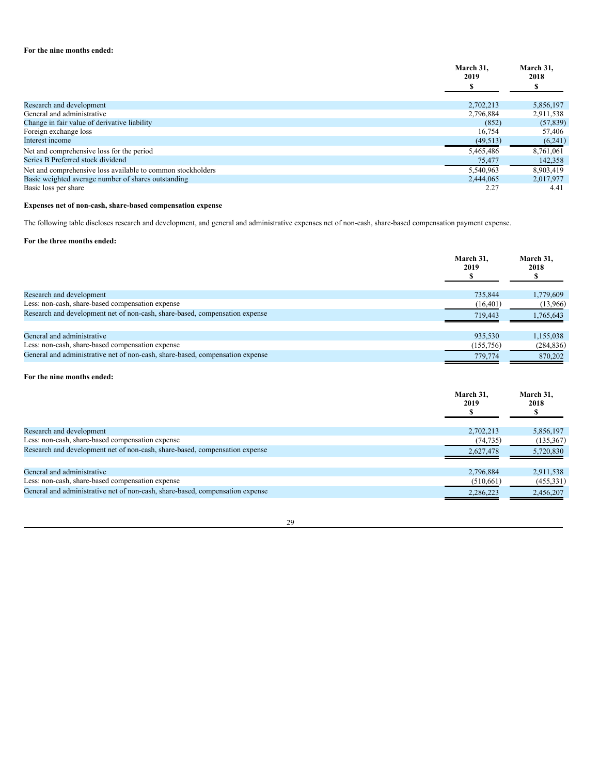### **For the nine months ended:**

|                                                             | March 31.<br>2019 | March 31,<br>2018 |
|-------------------------------------------------------------|-------------------|-------------------|
|                                                             |                   |                   |
| Research and development                                    | 2.702.213         | 5,856,197         |
| General and administrative                                  | 2.796.884         | 2,911,538         |
| Change in fair value of derivative liability                | (852)             | (57, 839)         |
| Foreign exchange loss                                       | 16,754            | 57,406            |
| Interest income                                             | (49, 513)         | (6,241)           |
| Net and comprehensive loss for the period                   | 5,465,486         | 8,761,061         |
| Series B Preferred stock dividend                           | 75,477            | 142,358           |
| Net and comprehensive loss available to common stockholders | 5.540.963         | 8,903,419         |
| Basic weighted average number of shares outstanding         | 2.444,065         | 2,017,977         |
| Basic loss per share                                        | 2.27              | 4.41              |

### **Expenses net of non-cash, share-based compensation expense**

The following table discloses research and development, and general and administrative expenses net of non-cash, share-based compensation payment expense.

### **For the three months ended:**

|                                                                               | March 31.<br>2019 | March 31,<br>2018 |
|-------------------------------------------------------------------------------|-------------------|-------------------|
|                                                                               |                   |                   |
| Research and development                                                      | 735,844           | 1,779,609         |
| Less: non-cash, share-based compensation expense                              | (16, 401)         | (13,966)          |
| Research and development net of non-cash, share-based, compensation expense   | 719.443           | 1,765,643         |
|                                                                               |                   |                   |
| General and administrative                                                    | 935,530           | 1,155,038         |
| Less: non-cash, share-based compensation expense                              | (155,756)         | (284, 836)        |
| General and administrative net of non-cash, share-based, compensation expense | 779,774           | 870,202           |
|                                                                               |                   |                   |

### **For the nine months ended:**

| March 31,<br>2019 | March 31,<br>2018 |
|-------------------|-------------------|
|                   |                   |
| (74, 735)         | (135, 367)        |
| 2,627,478         | 5,720,830         |
|                   |                   |
| 2,796,884         | 2,911,538         |
| (510, 661)        | (455, 331)        |
| 2,286,223         | 2,456,207         |
|                   |                   |

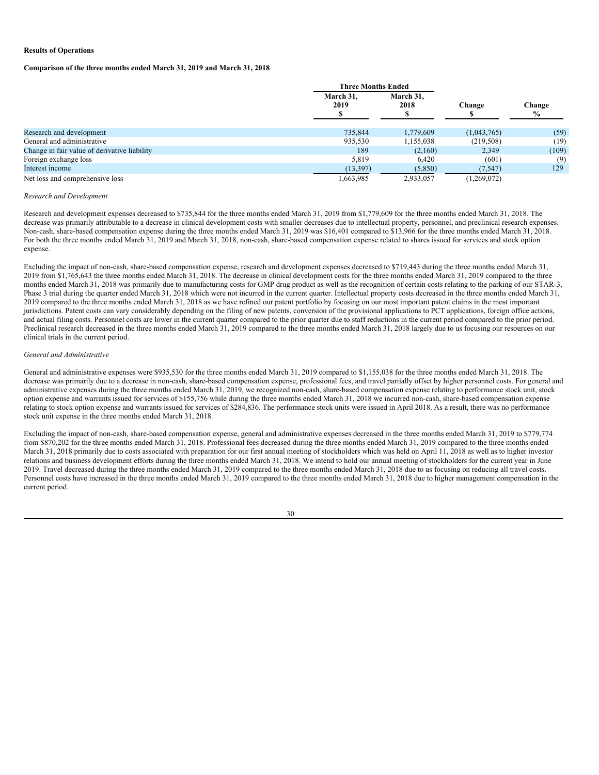#### **Results of Operations**

#### **Comparison of the three months ended March 31, 2019 and March 31, 2018**

|                                              |                   | <b>Three Months Ended</b> |             |                         |
|----------------------------------------------|-------------------|---------------------------|-------------|-------------------------|
|                                              | March 31,<br>2019 | March 31,<br>2018         | Change      | Change<br>$\frac{0}{0}$ |
| Research and development                     | 735,844           | 1,779,609                 | (1,043,765) | (59)                    |
| General and administrative                   | 935,530           | 1,155,038                 | (219, 508)  | (19)                    |
| Change in fair value of derivative liability | 189               | (2,160)                   | 2,349       | (109)                   |
| Foreign exchange loss                        | 5,819             | 6,420                     | (601)       | (9)                     |
| Interest income                              | (13, 397)         | (5,850)                   | (7, 547)    | 129                     |
| Net loss and comprehensive loss              | 1,663,985         | 2,933,057                 | (1,269,072) |                         |

#### *Research and Development*

Research and development expenses decreased to \$735,844 for the three months ended March 31, 2019 from \$1,779,609 for the three months ended March 31, 2018. The decrease was primarily attributable to a decrease in clinical development costs with smaller decreases due to intellectual property, personnel, and preclinical research expenses. Non-cash, share-based compensation expense during the three months ended March 31, 2019 was \$16,401 compared to \$13,966 for the three months ended March 31, 2018. For both the three months ended March 31, 2019 and March 31, 2018, non-cash, share-based compensation expense related to shares issued for services and stock option expense.

Excluding the impact of non-cash, share-based compensation expense, research and development expenses decreased to \$719,443 during the three months ended March 31, 2019 from \$1,765,643 the three months ended March 31, 2018. The decrease in clinical development costs for the three months ended March 31, 2019 compared to the three months ended March 31, 2018 was primarily due to manufacturing costs for GMP drug product as well as the recognition of certain costs relating to the parking of our STAR-3, Phase 3 trial during the quarter ended March 31, 2018 which were not incurred in the current quarter. Intellectual property costs decreased in the three months ended March 31, 2019 compared to the three months ended March 31, 2018 as we have refined our patent portfolio by focusing on our most important patent claims in the most important jurisdictions. Patent costs can vary considerably depending on the filing of new patents, conversion of the provisional applications to PCT applications, foreign office actions, and actual filing costs. Personnel costs are lower in the current quarter compared to the prior quarter due to staff reductions in the current period compared to the prior period. Preclinical research decreased in the three months ended March 31, 2019 compared to the three months ended March 31, 2018 largely due to us focusing our resources on our clinical trials in the current period.

#### *General and Administrative*

General and administrative expenses were \$935,530 for the three months ended March 31, 2019 compared to \$1,155,038 for the three months ended March 31, 2018. The decrease was primarily due to a decrease in non-cash, share-based compensation expense, professional fees, and travel partially offset by higher personnel costs. For general and administrative expenses during the three months ended March 31, 2019, we recognized non-cash, share-based compensation expense relating to performance stock unit, stock option expense and warrants issued for services of \$155,756 while during the three months ended March 31, 2018 we incurred non-cash, share-based compensation expense relating to stock option expense and warrants issued for services of \$284,836. The performance stock units were issued in April 2018. As a result, there was no performance stock unit expense in the three months ended March 31, 2018.

Excluding the impact of non-cash, share-based compensation expense, general and administrative expenses decreased in the three months ended March 31, 2019 to \$779,774 from \$870,202 for the three months ended March 31, 2018. Professional fees decreased during the three months ended March 31, 2019 compared to the three months ended March 31, 2018 primarily due to costs associated with preparation for our first annual meeting of stockholders which was held on April 11, 2018 as well as to higher investor relations and business development efforts during the three months ended March 31, 2018. We intend to hold our annual meeting of stockholders for the current year in June 2019. Travel decreased during the three months ended March 31, 2019 compared to the three months ended March 31, 2018 due to us focusing on reducing all travel costs. Personnel costs have increased in the three months ended March 31, 2019 compared to the three months ended March 31, 2018 due to higher management compensation in the current period.

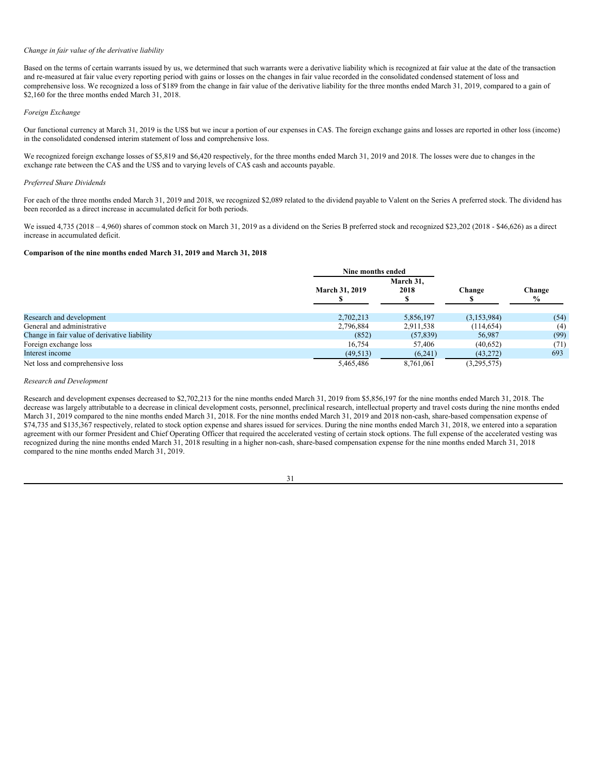#### *Change in fair value of the derivative liability*

Based on the terms of certain warrants issued by us, we determined that such warrants were a derivative liability which is recognized at fair value at the date of the transaction and re-measured at fair value every reporting period with gains or losses on the changes in fair value recorded in the consolidated condensed statement of loss and comprehensive loss. We recognized a loss of \$189 from the change in fair value of the derivative liability for the three months ended March 31, 2019, compared to a gain of \$2,160 for the three months ended March 31, 2018.

#### *Foreign Exchange*

Our functional currency at March 31, 2019 is the US\$ but we incur a portion of our expenses in CA\$. The foreign exchange gains and losses are reported in other loss (income) in the consolidated condensed interim statement of loss and comprehensive loss.

We recognized foreign exchange losses of \$5,819 and \$6,420 respectively, for the three months ended March 31, 2019 and 2018. The losses were due to changes in the exchange rate between the CA\$ and the US\$ and to varying levels of CA\$ cash and accounts payable.

#### *Preferred Share Dividends*

For each of the three months ended March 31, 2019 and 2018, we recognized \$2,089 related to the dividend payable to Valent on the Series A preferred stock. The dividend has been recorded as a direct increase in accumulated deficit for both periods.

We issued 4,735 (2018 – 4,960) shares of common stock on March 31, 2019 as a dividend on the Series B preferred stock and recognized \$23,202 (2018 - \$46,626) as a direct increase in accumulated deficit.

#### **Comparison of the nine months ended March 31, 2019 and March 31, 2018**

|                                              | Nine months ended |           |               |               |
|----------------------------------------------|-------------------|-----------|---------------|---------------|
|                                              |                   | March 31, |               |               |
|                                              | March 31, 2019    | 2018      | Change        | Change        |
|                                              |                   |           |               | $\frac{0}{0}$ |
|                                              |                   |           |               |               |
| Research and development                     | 2,702,213         | 5,856,197 | (3, 153, 984) | (54)          |
| General and administrative                   | 2,796,884         | 2,911,538 | (114, 654)    | (4)           |
| Change in fair value of derivative liability | (852)             | (57, 839) | 56,987        | (99)          |
| Foreign exchange loss                        | 16.754            | 57,406    | (40,652)      | (71)          |
| Interest income                              | (49, 513)         | (6,241)   | (43,272)      | 693           |
| Net loss and comprehensive loss              | 5,465,486         | 8.761.061 | (3,295,575)   |               |

#### *Research and Development*

Research and development expenses decreased to \$2,702,213 for the nine months ended March 31, 2019 from \$5,856,197 for the nine months ended March 31, 2018. The decrease was largely attributable to a decrease in clinical development costs, personnel, preclinical research, intellectual property and travel costs during the nine months ended March 31, 2019 compared to the nine months ended March 31, 2018. For the nine months ended March 31, 2019 and 2018 non-cash, share-based compensation expense of \$74,735 and \$135,367 respectively, related to stock option expense and shares issued for services. During the nine months ended March 31, 2018, we entered into a separation agreement with our former President and Chief Operating Officer that required the accelerated vesting of certain stock options. The full expense of the accelerated vesting was recognized during the nine months ended March 31, 2018 resulting in a higher non-cash, share-based compensation expense for the nine months ended March 31, 2018 compared to the nine months ended March 31, 2019.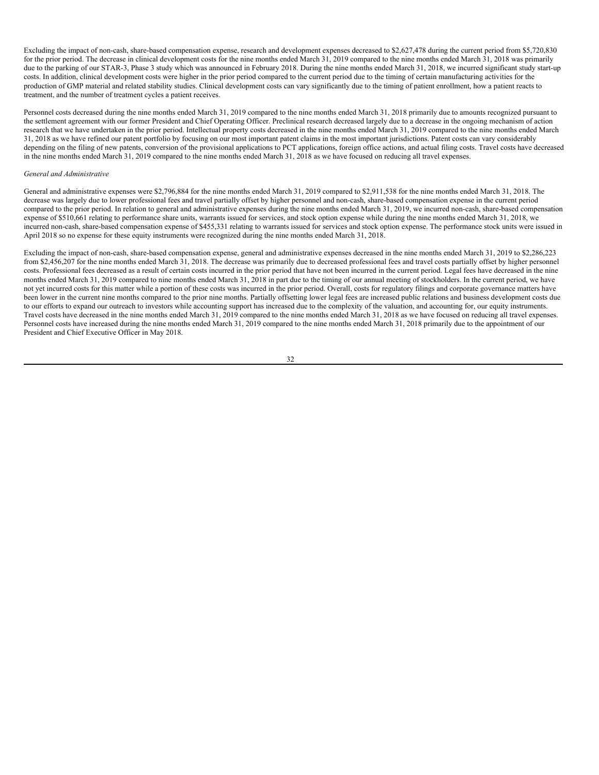Excluding the impact of non-cash, share-based compensation expense, research and development expenses decreased to \$2,627,478 during the current period from \$5,720,830 for the prior period. The decrease in clinical development costs for the nine months ended March 31, 2019 compared to the nine months ended March 31, 2018 was primarily due to the parking of our STAR-3, Phase 3 study which was announced in February 2018. During the nine months ended March 31, 2018, we incurred significant study start-up costs. In addition, clinical development costs were higher in the prior period compared to the current period due to the timing of certain manufacturing activities for the production of GMP material and related stability studies. Clinical development costs can vary significantly due to the timing of patient enrollment, how a patient reacts to treatment, and the number of treatment cycles a patient receives.

Personnel costs decreased during the nine months ended March 31, 2019 compared to the nine months ended March 31, 2018 primarily due to amounts recognized pursuant to the settlement agreement with our former President and Chief Operating Officer. Preclinical research decreased largely due to a decrease in the ongoing mechanism of action research that we have undertaken in the prior period. Intellectual property costs decreased in the nine months ended March 31, 2019 compared to the nine months ended March 31, 2018 as we have refined our patent portfolio by focusing on our most important patent claims in the most important jurisdictions. Patent costs can vary considerably depending on the filing of new patents, conversion of the provisional applications to PCT applications, foreign office actions, and actual filing costs. Travel costs have decreased in the nine months ended March 31, 2019 compared to the nine months ended March 31, 2018 as we have focused on reducing all travel expenses.

#### *General and Administrative*

General and administrative expenses were \$2,796,884 for the nine months ended March 31, 2019 compared to \$2,911,538 for the nine months ended March 31, 2018. The decrease was largely due to lower professional fees and travel partially offset by higher personnel and non-cash, share-based compensation expense in the current period compared to the prior period. In relation to general and administrative expenses during the nine months ended March 31, 2019, we incurred non-cash, share-based compensation expense of \$510,661 relating to performance share units, warrants issued for services, and stock option expense while during the nine months ended March 31, 2018, we incurred non-cash, share-based compensation expense of \$455,331 relating to warrants issued for services and stock option expense. The performance stock units were issued in April 2018 so no expense for these equity instruments were recognized during the nine months ended March 31, 2018.

Excluding the impact of non-cash, share-based compensation expense, general and administrative expenses decreased in the nine months ended March 31, 2019 to \$2,286,223 from \$2,456,207 for the nine months ended March 31, 2018. The decrease was primarily due to decreased professional fees and travel costs partially offset by higher personnel costs. Professional fees decreased as a result of certain costs incurred in the prior period that have not been incurred in the current period. Legal fees have decreased in the nine months ended March 31, 2019 compared to nine months ended March 31,  $2018$  in part due to the timing of our annual meeting of stockholders. In the current period, we have not yet incurred costs for this matter while a portion of these costs was incurred in the prior period. Overall, costs for regulatory filings and corporate governance matters have been lower in the current nine months compared to the prior nine months. Partially offsetting lower legal fees are increased public relations and business development costs due to our efforts to expand our outreach to investors while accounting support has increased due to the complexity of the valuation, and accounting for, our equity instruments. Travel costs have decreased in the nine months ended March 31, 2019 compared to the nine months ended March 31, 2018 as we have focused on reducing all travel expenses. Personnel costs have increased during the nine months ended March 31, 2019 compared to the nine months ended March 31, 2018 primarily due to the appointment of our President and Chief Executive Officer in May 2018.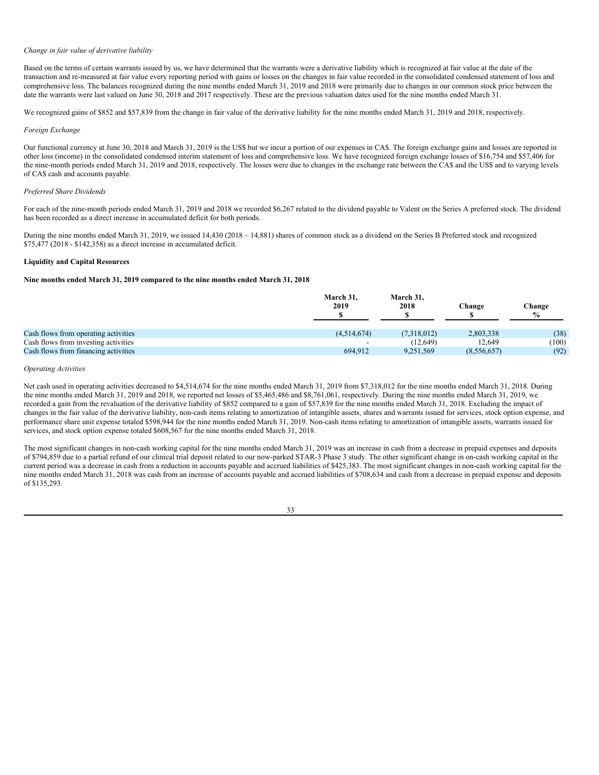#### *Change in fair value of derivative liability*

Based on the terms of certain warrants issued by us, we have determined that the warrants were a derivative liability which is recognized at fair value at the date of the transaction and re-measured at fair value every reporting period with gains or losses on the changes in fair value recorded in the consolidated condensed statement of loss and comprehensive loss. The balances recognized during the nine months ended March 31, 2019 and 2018 were primarily due to changes in our common stock price between the date the warrants were last valued on June 30, 2018 and 2017 respectively. These are the previous valuation dates used for the nine months ended March 31.

We recognized gains of \$852 and \$57,839 from the change in fair value of the derivative liability for the nine months ended March 31, 2019 and 2018, respectively.

#### *Foreign Exchange*

Our functional currency at June 30, 2018 and March 31, 2019 is the US\$ but we incur a portion of our expenses in CA\$. The foreign exchange gains and losses are reported in other loss (income) in the consolidated condensed interim statement of loss and comprehensive loss. We have recognized foreign exchange losses of \$16,754 and \$57,406 for the nine-month periods ended March 31, 2019 and 2018, respectively. The losses were due to changes in the exchange rate between the CA\$ and the US\$ and to varying levels of CA\$ cash and accounts payable.

#### *Preferred Share Dividends*

For each of the nine-month periods ended March 31, 2019 and 2018 we recorded \$6,267 related to the dividend payable to Valent on the Series A preferred stock. The dividend has been recorded as a direct increase in accumulated deficit for both periods.

During the nine months ended March 31, 2019, we issued 14,430 (2018 – 14,881) shares of common stock as a dividend on the Series B Preferred stock and recognized \$75,477 (2018 - \$142,358) as a direct increase in accumulated deficit.

#### **Liquidity and Capital Resources**

#### **Nine months ended March 31, 2019 compared to the nine months ended March 31, 2018**

|                                      | March 31,<br>2019        | March 31,<br>2018 | Change      | Change<br>$\frac{0}{0}$ |
|--------------------------------------|--------------------------|-------------------|-------------|-------------------------|
| Cash flows from operating activities | (4,514,674)              | (7,318,012)       | 2,803,338   | (38)                    |
| Cash flows from investing activities | $\overline{\phantom{0}}$ | (12, 649)         | 12.649      | (100)                   |
| Cash flows from financing activities | 694.912                  | 9.251.569         | (8,556,657) | (92)                    |

#### *Operating Activities*

Net cash used in operating activities decreased to \$4,514,674 for the nine months ended March 31, 2019 from \$7,318,012 for the nine months ended March 31, 2018. During the nine months ended March 31, 2019 and 2018, we reported net losses of \$5,465,486 and \$8,761,061, respectively. During the nine months ended March 31, 2019, we recorded a gain from the revaluation of the derivative liability of \$852 compared to a gain of \$57,839 for the nine months ended March 31, 2018. Excluding the impact of changes in the fair value of the derivative liability, non-cash items relating to amortization of intangible assets, shares and warrants issued for services, stock option expense, and performance share unit expense totaled \$598,944 for the nine months ended March 31, 2019. Non-cash items relating to amortization of intangible assets, warrants issued for services, and stock option expense totaled \$608,567 for the nine months ended March 31, 2018.

The most significant changes in non-cash working capital for the nine months ended March 31, 2019 was an increase in cash from a decrease in prepaid expenses and deposits of \$794,859 due to a partial refund of our clinical trial deposit related to our now-parked STAR-3 Phase 3 study. The other significant change in on-cash working capital in the current period was a decrease in cash from a reduction in accounts payable and accrued liabilities of \$425,383. The most significant changes in non-cash working capital for the nine months ended March 31, 2018 was cash from an increase of accounts payable and accrued liabilities of \$708,634 and cash from a decrease in prepaid expense and deposits of \$135,293.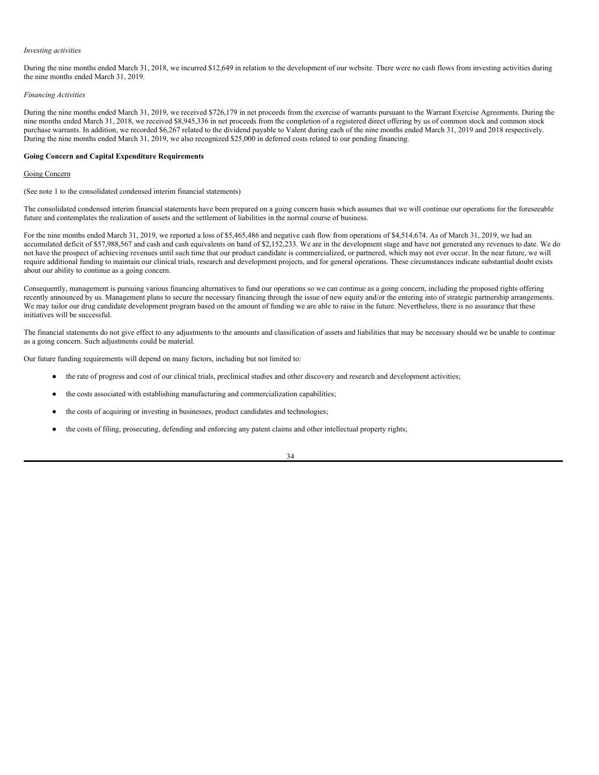#### *Investing activities*

During the nine months ended March 31, 2018, we incurred \$12,649 in relation to the development of our website. There were no cash flows from investing activities during the nine months ended March 31, 2019.

#### *Financing Activities*

During the nine months ended March 31, 2019, we received \$726,179 in net proceeds from the exercise of warrants pursuant to the Warrant Exercise Agreements. During the nine months ended March 31, 2018, we received \$8,945,336 in net proceeds from the completion of a registered direct offering by us of common stock and common stock purchase warrants. In addition, we recorded \$6,267 related to the dividend payable to Valent during each of the nine months ended March 31, 2019 and 2018 respectively. During the nine months ended March 31, 2019, we also recognized \$25,000 in deferred costs related to our pending financing.

#### **Going Concern and Capital Expenditure Requirements**

#### Going Concern

(See note 1 to the consolidated condensed interim financial statements)

The consolidated condensed interim financial statements have been prepared on a going concern basis which assumes that we will continue our operations for the foreseeable future and contemplates the realization of assets and the settlement of liabilities in the normal course of business.

For the nine months ended March 31, 2019, we reported a loss of \$5,465,486 and negative cash flow from operations of \$4,514,674. As of March 31, 2019, we had an accumulated deficit of \$57,988,567 and cash and cash equivalents on hand of \$2,152,233. We are in the development stage and have not generated any revenues to date. We do not have the prospect of achieving revenues until such time that our product candidate is commercialized, or partnered, which may not ever occur. In the near future, we will require additional funding to maintain our clinical trials, research and development projects, and for general operations. These circumstances indicate substantial doubt exists about our ability to continue as a going concern.

Consequently, management is pursuing various financing alternatives to fund our operations so we can continue as a going concern, including the proposed rights offering recently announced by us. Management plans to secure the necessary financing through the issue of new equity and/or the entering into of strategic partnership arrangements. We may tailor our drug candidate development program based on the amount of funding we are able to raise in the future. Nevertheless, there is no assurance that these initiatives will be successful.

The financial statements do not give effect to any adjustments to the amounts and classification of assets and liabilities that may be necessary should we be unable to continue as a going concern. Such adjustments could be material.

Our future funding requirements will depend on many factors, including but not limited to:

- the rate of progress and cost of our clinical trials, preclinical studies and other discovery and research and development activities;
- the costs associated with establishing manufacturing and commercialization capabilities;
- the costs of acquiring or investing in businesses, product candidates and technologies;
- the costs of filing, prosecuting, defending and enforcing any patent claims and other intellectual property rights;

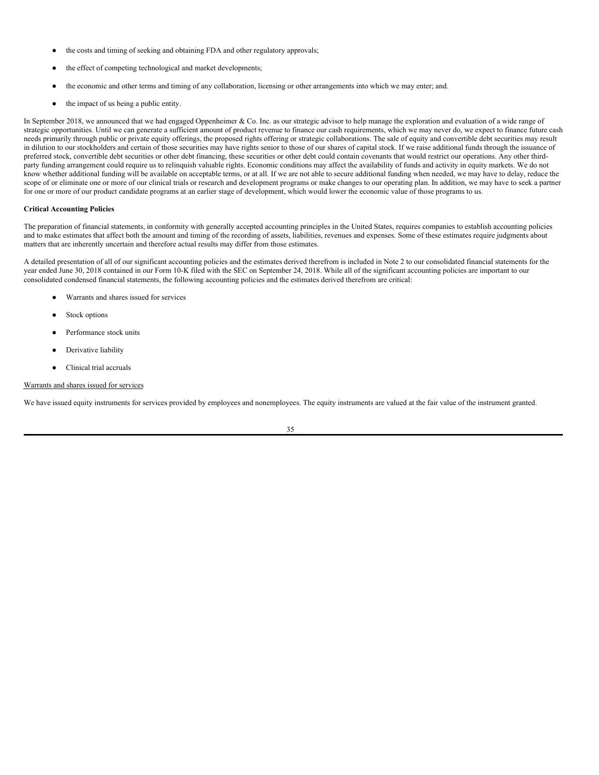- the costs and timing of seeking and obtaining FDA and other regulatory approvals;
- the effect of competing technological and market developments;
- the economic and other terms and timing of any collaboration, licensing or other arrangements into which we may enter; and.
- the impact of us being a public entity.

In September 2018, we announced that we had engaged Oppenheimer & Co. Inc. as our strategic advisor to help manage the exploration and evaluation of a wide range of strategic opportunities. Until we can generate a sufficient amount of product revenue to finance our cash requirements, which we may never do, we expect to finance future cash needs primarily through public or private equity offerings, the proposed rights offering or strategic collaborations. The sale of equity and convertible debt securities may result in dilution to our stockholders and certain of those securities may have rights senior to those of our shares of capital stock. If we raise additional funds through the issuance of preferred stock, convertible debt securities or other debt financing, these securities or other debt could contain covenants that would restrict our operations. Any other thirdparty funding arrangement could require us to relinquish valuable rights. Economic conditions may affect the availability of funds and activity in equity markets. We do not know whether additional funding will be available on acceptable terms, or at all. If we are not able to secure additional funding when needed, we may have to delay, reduce the scope of or eliminate one or more of our clinical trials or research and development programs or make changes to our operating plan. In addition, we may have to seek a partner for one or more of our product candidate programs at an earlier stage of development, which would lower the economic value of those programs to us.

#### **Critical Accounting Policies**

The preparation of financial statements, in conformity with generally accepted accounting principles in the United States, requires companies to establish accounting policies and to make estimates that affect both the amount and timing of the recording of assets, liabilities, revenues and expenses. Some of these estimates require judgments about matters that are inherently uncertain and therefore actual results may differ from those estimates.

A detailed presentation of all of our significant accounting policies and the estimates derived therefrom is included in Note 2 to our consolidated financial statements for the year ended June 30, 2018 contained in our Form 10-K filed with the SEC on September 24, 2018. While all of the significant accounting policies are important to our consolidated condensed financial statements, the following accounting policies and the estimates derived therefrom are critical:

- Warrants and shares issued for services
- Stock options
- Performance stock units
- Derivative liability
- Clinical trial accruals

#### Warrants and shares issued for services

We have issued equity instruments for services provided by employees and nonemployees. The equity instruments are valued at the fair value of the instrument granted.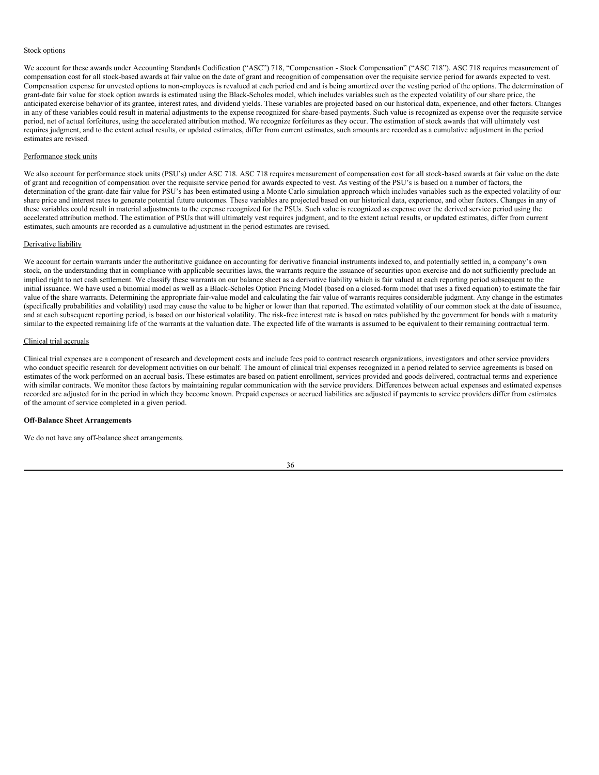#### Stock options

We account for these awards under Accounting Standards Codification ("ASC") 718, "Compensation - Stock Compensation" ("ASC 718"). ASC 718 requires measurement of compensation cost for all stock-based awards at fair value on the date of grant and recognition of compensation over the requisite service period for awards expected to vest. Compensation expense for unvested options to non-employees is revalued at each period end and is being amortized over the vesting period of the options. The determination of grant-date fair value for stock option awards is estimated using the Black-Scholes model, which includes variables such as the expected volatility of our share price, the anticipated exercise behavior of its grantee, interest rates, and dividend yields. These variables are projected based on our historical data, experience, and other factors. Changes in any of these variables could result in material adjustments to the expense recognized for share-based payments. Such value is recognized as expense over the requisite service period, net of actual forfeitures, using the accelerated attribution method. We recognize forfeitures as they occur. The estimation of stock awards that will ultimately vest requires judgment, and to the extent actual results, or updated estimates, differ from current estimates, such amounts are recorded as a cumulative adjustment in the period estimates are revised.

#### Performance stock units

We also account for performance stock units (PSU's) under ASC 718. ASC 718 requires measurement of compensation cost for all stock-based awards at fair value on the date of grant and recognition of compensation over the requisite service period for awards expected to vest. As vesting of the PSU's is based on a number of factors, the determination of the grant-date fair value for PSU's has been estimated using a Monte Carlo simulation approach which includes variables such as the expected volatility of our share price and interest rates to generate potential future outcomes. These variables are projected based on our historical data, experience, and other factors. Changes in any of these variables could result in material adjustments to the expense recognized for the PSUs. Such value is recognized as expense over the derived service period using the accelerated attribution method. The estimation of PSUs that will ultimately vest requires judgment, and to the extent actual results, or updated estimates, differ from current estimates, such amounts are recorded as a cumulative adjustment in the period estimates are revised.

#### Derivative liability

We account for certain warrants under the authoritative guidance on accounting for derivative financial instruments indexed to, and potentially settled in, a company's own stock, on the understanding that in compliance with applicable securities laws, the warrants require the issuance of securities upon exercise and do not sufficiently preclude an implied right to net cash settlement. We classify these warrants on our balance sheet as a derivative liability which is fair valued at each reporting period subsequent to the initial issuance. We have used a binomial model as well as a Black-Scholes Option Pricing Model (based on a closed-form model that uses a fixed equation) to estimate the fair value of the share warrants. Determining the appropriate fair-value model and calculating the fair value of warrants requires considerable judgment. Any change in the estimates (specifically probabilities and volatility) used may cause the value to be higher or lower than that reported. The estimated volatility of our common stock at the date of issuance, and at each subsequent reporting period, is based on our historical volatility. The risk-free interest rate is based on rates published by the government for bonds with a maturity similar to the expected remaining life of the warrants at the valuation date. The expected life of the warrants is assumed to be equivalent to their remaining contractual term.

#### Clinical trial accruals

Clinical trial expenses are a component of research and development costs and include fees paid to contract research organizations, investigators and other service providers who conduct specific research for development activities on our behalf. The amount of clinical trial expenses recognized in a period related to service agreements is based on estimates of the work performed on an accrual basis. These estimates are based on patient enrollment, services provided and goods delivered, contractual terms and experience with similar contracts. We monitor these factors by maintaining regular communication with the service providers. Differences between actual expenses and estimated expenses recorded are adjusted for in the period in which they become known. Prepaid expenses or accrued liabilities are adjusted if payments to service providers differ from estimates of the amount of service completed in a given period.

#### **Off-Balance Sheet Arrangements**

We do not have any off-balance sheet arrangements.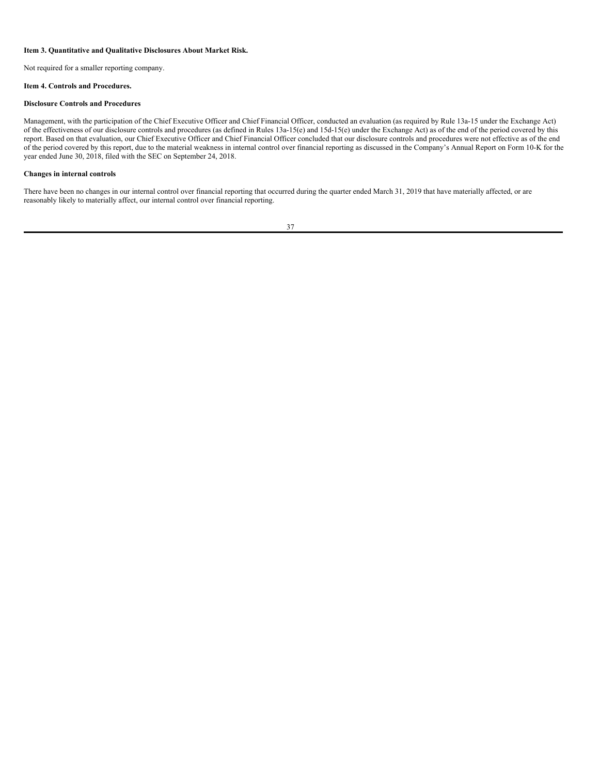#### **Item 3. Quantitative and Qualitative Disclosures About Market Risk.**

Not required for a smaller reporting company.

#### **Item 4. Controls and Procedures.**

#### **Disclosure Controls and Procedures**

Management, with the participation of the Chief Executive Officer and Chief Financial Officer, conducted an evaluation (as required by Rule 13a-15 under the Exchange Act) of the effectiveness of our disclosure controls and procedures (as defined in Rules 13a-15(e) and 15d-15(e) under the Exchange Act) as of the end of the period covered by this report. Based on that evaluation, our Chief Executive Officer and Chief Financial Officer concluded that our disclosure controls and procedures were not effective as of the end of the period covered by this report, due to the material weakness in internal control over financial reporting as discussed in the Company's Annual Report on Form 10-K for the year ended June 30, 2018, filed with the SEC on September 24, 2018.

#### **Changes in internal controls**

There have been no changes in our internal control over financial reporting that occurred during the quarter ended March 31, 2019 that have materially affected, or are reasonably likely to materially affect, our internal control over financial reporting.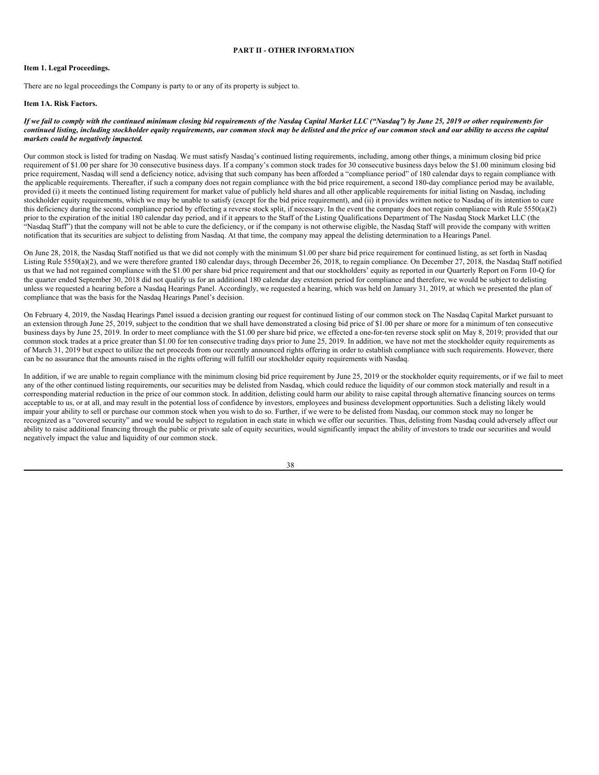#### **PART II - OTHER INFORMATION**

#### **Item 1. Legal Proceedings.**

There are no legal proceedings the Company is party to or any of its property is subject to.

#### **Item 1A. Risk Factors.**

#### If we fail to comply with the continued minimum closing bid requirements of the Nasdaq Capital Market LLC ("Nasdaq") by June 25, 2019 or other requirements for continued listing, including stockholder equity requirements, our common stock may be delisted and the price of our common stock and our ability to access the capital *markets could be negatively impacted.*

Our common stock is listed for trading on Nasdaq. We must satisfy Nasdaq's continued listing requirements, including, among other things, a minimum closing bid price requirement of \$1.00 per share for 30 consecutive business days. If a company's common stock trades for 30 consecutive business days below the \$1.00 minimum closing bid price requirement, Nasdaq will send a deficiency notice, advising that such company has been afforded a "compliance period" of 180 calendar days to regain compliance with the applicable requirements. Thereafter, if such a company does not regain compliance with the bid price requirement, a second 180-day compliance period may be available, provided (i) it meets the continued listing requirement for market value of publicly held shares and all other applicable requirements for initial listing on Nasdaq, including stockholder equity requirements, which we may be unable to satisfy (except for the bid price requirement), and (ii) it provides written notice to Nasdaq of its intention to cure this deficiency during the second compliance period by effecting a reverse stock split, if necessary. In the event the company does not regain compliance with Rule 5550(a)(2) prior to the expiration of the initial 180 calendar day period, and if it appears to the Staff of the Listing Qualifications Department of The Nasdaq Stock Market LLC (the "Nasdaq Staff") that the company will not be able to cure the deficiency, or if the company is not otherwise eligible, the Nasdaq Staff will provide the company with written notification that its securities are subject to delisting from Nasdaq. At that time, the company may appeal the delisting determination to a Hearings Panel.

On June 28, 2018, the Nasdaq Staff notified us that we did not comply with the minimum \$1.00 per share bid price requirement for continued listing, as set forth in Nasdaq Listing Rule 5550(a)(2), and we were therefore granted 180 calendar days, through December 26, 2018, to regain compliance. On December 27, 2018, the Nasdaq Staff notified us that we had not regained compliance with the \$1.00 per share bid price requirement and that our stockholders' equity as reported in our Quarterly Report on Form 10-Q for the quarter ended September 30, 2018 did not qualify us for an additional 180 calendar day extension period for compliance and therefore, we would be subject to delisting unless we requested a hearing before a Nasdaq Hearings Panel. Accordingly, we requested a hearing, which was held on January 31, 2019, at which we presented the plan of compliance that was the basis for the Nasdaq Hearings Panel's decision.

On February 4, 2019, the Nasdaq Hearings Panel issued a decision granting our request for continued listing of our common stock on The Nasdaq Capital Market pursuant to an extension through June 25, 2019, subject to the condition that we shall have demonstrated a closing bid price of \$1.00 per share or more for a minimum of ten consecutive business days by June 25, 2019. In order to meet compliance with the \$1.00 per share bid price, we effected a one-for-ten reverse stock split on May 8, 2019; provided that our common stock trades at a price greater than \$1.00 for ten consecutive trading days prior to June 25, 2019. In addition, we have not met the stockholder equity requirements as of March 31, 2019 but expect to utilize the net proceeds from our recently announced rights offering in order to establish compliance with such requirements. However, there can be no assurance that the amounts raised in the rights offering will fulfill our stockholder equity requirements with Nasdaq.

In addition, if we are unable to regain compliance with the minimum closing bid price requirement by June 25, 2019 or the stockholder equity requirements, or if we fail to meet any of the other continued listing requirements, our securities may be delisted from Nasdaq, which could reduce the liquidity of our common stock materially and result in a corresponding material reduction in the price of our common stock. In addition, delisting could harm our ability to raise capital through alternative financing sources on terms acceptable to us, or at all, and may result in the potential loss of confidence by investors, employees and business development opportunities. Such a delisting likely would impair your ability to sell or purchase our common stock when you wish to do so. Further, if we were to be delisted from Nasdaq, our common stock may no longer be recognized as a "covered security" and we would be subject to regulation in each state in which we offer our securities. Thus, delisting from Nasdaq could adversely affect our ability to raise additional financing through the public or private sale of equity securities, would significantly impact the ability of investors to trade our securities and would negatively impact the value and liquidity of our common stock.

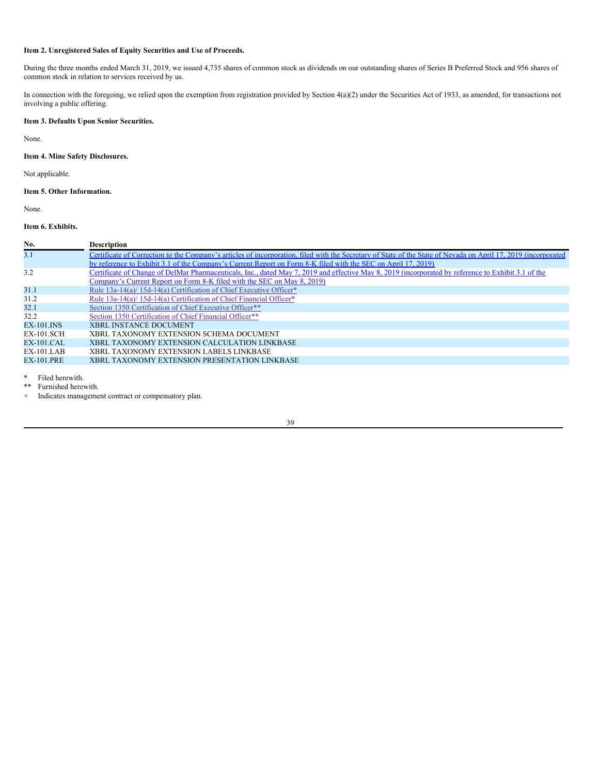### **Item 2. Unregistered Sales of Equity Securities and Use of Proceeds.**

During the three months ended March 31, 2019, we issued 4,735 shares of common stock as dividends on our outstanding shares of Series B Preferred Stock and 956 shares of common stock in relation to services received by us.

In connection with the foregoing, we relied upon the exemption from registration provided by Section 4(a)(2) under the Securities Act of 1933, as amended, for transactions not involving a public offering.

#### **Item 3. Defaults Upon Senior Securities.**

None.

### **Item 4. Mine Safety Disclosures.**

Not applicable.

#### **Item 5. Other Information.**

None.

### **Item 6. Exhibits.**

| No.               | <b>Description</b>                                                                                                                                             |
|-------------------|----------------------------------------------------------------------------------------------------------------------------------------------------------------|
| 3.1               | Certificate of Correction to the Company's articles of incorporation, filed with the Secretary of State of the State of Nevada on April 17, 2019 (incorporated |
|                   | by reference to Exhibit 3.1 of the Company's Current Report on Form 8-K filed with the SEC on April 17, 2019)                                                  |
| 3.2               | Certificate of Change of DelMar Pharmaceuticals, Inc., dated May 7, 2019 and effective May 8, 2019 (incorporated by reference to Exhibit 3.1 of the            |
|                   | Company's Current Report on Form 8-K filed with the SEC on May 8, 2019)                                                                                        |
| 31.1              | Rule 13a-14(a)/ 15d-14(a) Certification of Chief Executive Officer*                                                                                            |
| 31.2              | Rule 13a-14(a)/ 15d-14(a) Certification of Chief Financial Officer*                                                                                            |
| 32.1              | Section 1350 Certification of Chief Executive Officer**                                                                                                        |
| 32.2              | Section 1350 Certification of Chief Financial Officer**                                                                                                        |
| <b>EX-101.INS</b> | <b>XBRL INSTANCE DOCUMENT</b>                                                                                                                                  |
| <b>EX-101 SCH</b> | XBRL TAXONOMY EXTENSION SCHEMA DOCUMENT                                                                                                                        |
| <b>EX-101.CAL</b> | XBRL TAXONOMY EXTENSION CALCULATION LINKBASE                                                                                                                   |
| $EX-101.LAB$      | XBRL TAXONOMY EXTENSION LABELS LINKBASE                                                                                                                        |
| EX-101.PRE        | XBRL TAXONOMY EXTENSION PRESENTATION LINKBASE                                                                                                                  |

Filed herewith.

\*\* Furnished herewith.

+ Indicates management contract or compensatory plan.

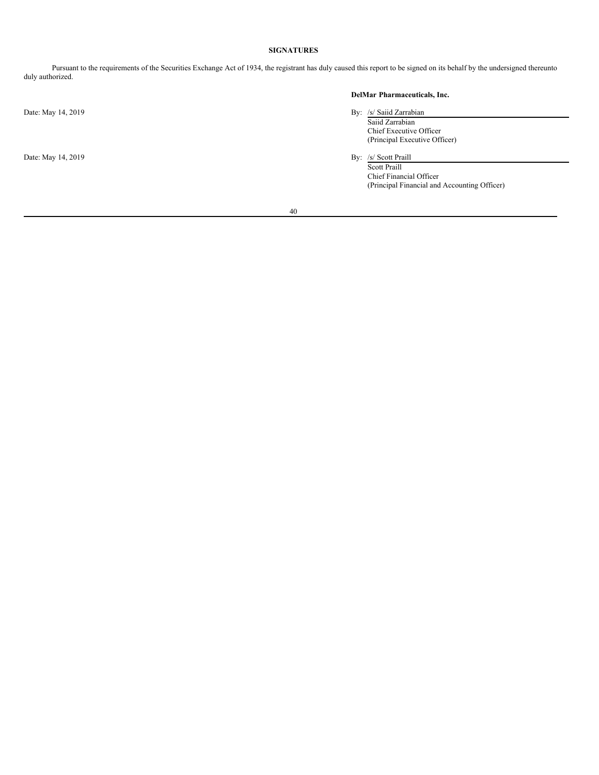### **SIGNATURES**

Pursuant to the requirements of the Securities Exchange Act of 1934, the registrant has duly caused this report to be signed on its behalf by the undersigned thereunto duly authorized.

Date: May 14, 2019 By: /s/ Saiid Zarrabian

Date: May 14, 2019 By: /s/ Scott Praill

### **DelMar Pharmaceuticals, Inc.**

Saiid Zarrabian Chief Executive Officer (Principal Executive Officer)

Scott Praill Chief Financial Officer (Principal Financial and Accounting Officer)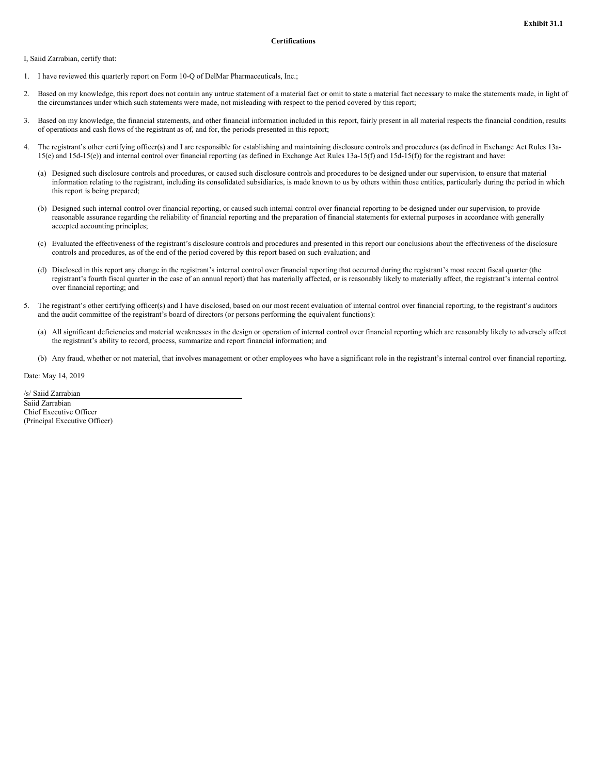<span id="page-42-0"></span>I, Saiid Zarrabian, certify that:

- 1. I have reviewed this quarterly report on Form 10-Q of DelMar Pharmaceuticals, Inc.;
- 2. Based on my knowledge, this report does not contain any untrue statement of a material fact or omit to state a material fact necessary to make the statements made, in light of the circumstances under which such statements were made, not misleading with respect to the period covered by this report;
- 3. Based on my knowledge, the financial statements, and other financial information included in this report, fairly present in all material respects the financial condition, results of operations and cash flows of the registrant as of, and for, the periods presented in this report;
- The registrant's other certifying officer(s) and I are responsible for establishing and maintaining disclosure controls and procedures (as defined in Exchange Act Rules 13a-15(e) and 15d-15(e)) and internal control over financial reporting (as defined in Exchange Act Rules 13a-15(f) and 15d-15(f)) for the registrant and have:
	- (a) Designed such disclosure controls and procedures, or caused such disclosure controls and procedures to be designed under our supervision, to ensure that material information relating to the registrant, including its consolidated subsidiaries, is made known to us by others within those entities, particularly during the period in which this report is being prepared;
	- (b) Designed such internal control over financial reporting, or caused such internal control over financial reporting to be designed under our supervision, to provide reasonable assurance regarding the reliability of financial reporting and the preparation of financial statements for external purposes in accordance with generally accepted accounting principles;
	- (c) Evaluated the effectiveness of the registrant's disclosure controls and procedures and presented in this report our conclusions about the effectiveness of the disclosure controls and procedures, as of the end of the period covered by this report based on such evaluation; and
	- (d) Disclosed in this report any change in the registrant's internal control over financial reporting that occurred during the registrant's most recent fiscal quarter (the registrant's fourth fiscal quarter in the case of an annual report) that has materially affected, or is reasonably likely to materially affect, the registrant's internal control over financial reporting; and
- 5. The registrant's other certifying officer(s) and I have disclosed, based on our most recent evaluation of internal control over financial reporting, to the registrant's auditors and the audit committee of the registrant's board of directors (or persons performing the equivalent functions):
	- (a) All significant deficiencies and material weaknesses in the design or operation of internal control over financial reporting which are reasonably likely to adversely affect the registrant's ability to record, process, summarize and report financial information; and
	- (b) Any fraud, whether or not material, that involves management or other employees who have a significant role in the registrant's internal control over financial reporting.

Date: May 14, 2019

/s/ Saiid Zarrabian

Saiid Zarrabian Chief Executive Officer (Principal Executive Officer)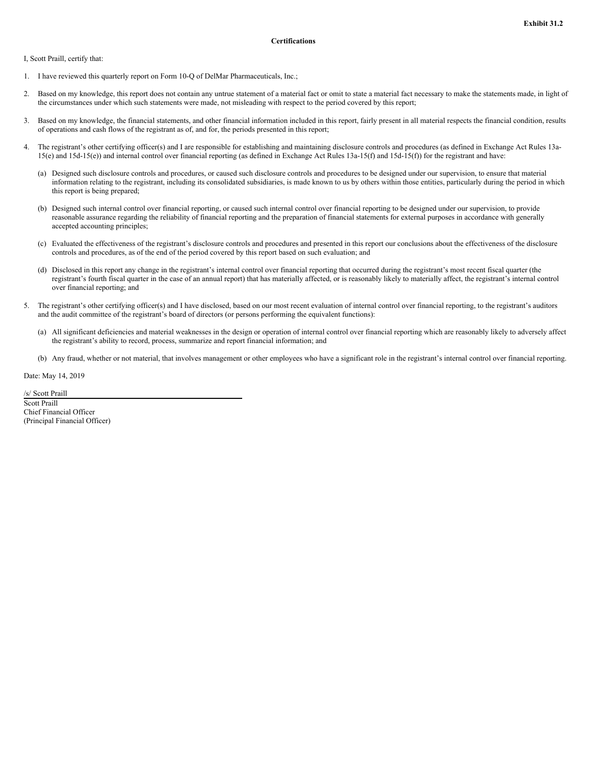<span id="page-43-0"></span>I, Scott Praill, certify that:

- 1. I have reviewed this quarterly report on Form 10-Q of DelMar Pharmaceuticals, Inc.;
- 2. Based on my knowledge, this report does not contain any untrue statement of a material fact or omit to state a material fact necessary to make the statements made, in light of the circumstances under which such statements were made, not misleading with respect to the period covered by this report;
- 3. Based on my knowledge, the financial statements, and other financial information included in this report, fairly present in all material respects the financial condition, results of operations and cash flows of the registrant as of, and for, the periods presented in this report;
- The registrant's other certifying officer(s) and I are responsible for establishing and maintaining disclosure controls and procedures (as defined in Exchange Act Rules 13a-15(e) and 15d-15(e)) and internal control over financial reporting (as defined in Exchange Act Rules 13a-15(f) and 15d-15(f)) for the registrant and have:
	- (a) Designed such disclosure controls and procedures, or caused such disclosure controls and procedures to be designed under our supervision, to ensure that material information relating to the registrant, including its consolidated subsidiaries, is made known to us by others within those entities, particularly during the period in which this report is being prepared;
	- (b) Designed such internal control over financial reporting, or caused such internal control over financial reporting to be designed under our supervision, to provide reasonable assurance regarding the reliability of financial reporting and the preparation of financial statements for external purposes in accordance with generally accepted accounting principles;
	- (c) Evaluated the effectiveness of the registrant's disclosure controls and procedures and presented in this report our conclusions about the effectiveness of the disclosure controls and procedures, as of the end of the period covered by this report based on such evaluation; and
	- (d) Disclosed in this report any change in the registrant's internal control over financial reporting that occurred during the registrant's most recent fiscal quarter (the registrant's fourth fiscal quarter in the case of an annual report) that has materially affected, or is reasonably likely to materially affect, the registrant's internal control over financial reporting; and
- 5. The registrant's other certifying officer(s) and I have disclosed, based on our most recent evaluation of internal control over financial reporting, to the registrant's auditors and the audit committee of the registrant's board of directors (or persons performing the equivalent functions):
	- (a) All significant deficiencies and material weaknesses in the design or operation of internal control over financial reporting which are reasonably likely to adversely affect the registrant's ability to record, process, summarize and report financial information; and
	- (b) Any fraud, whether or not material, that involves management or other employees who have a significant role in the registrant's internal control over financial reporting.

Date: May 14, 2019

/s/ Scott Praill

Scott Praill Chief Financial Officer (Principal Financial Officer)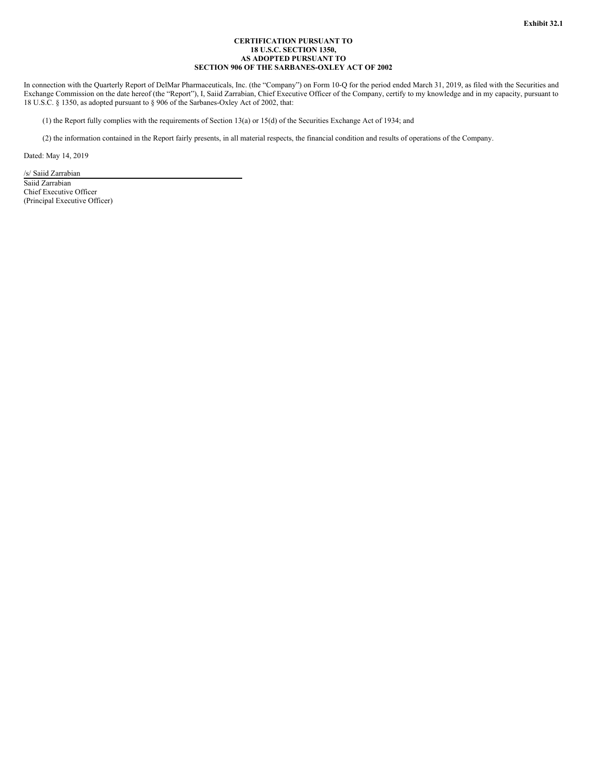#### **CERTIFICATION PURSUANT TO 18 U.S.C. SECTION 1350, AS ADOPTED PURSUANT TO SECTION 906 OF THE SARBANES-OXLEY ACT OF 2002**

<span id="page-44-0"></span>In connection with the Quarterly Report of DelMar Pharmaceuticals, Inc. (the "Company") on Form 10-Q for the period ended March 31, 2019, as filed with the Securities and Exchange Commission on the date hereof (the "Report"), I, Saiid Zarrabian, Chief Executive Officer of the Company, certify to my knowledge and in my capacity, pursuant to 18 U.S.C. § 1350, as adopted pursuant to § 906 of the Sarbanes-Oxley Act of 2002, that:

(1) the Report fully complies with the requirements of Section 13(a) or 15(d) of the Securities Exchange Act of 1934; and

(2) the information contained in the Report fairly presents, in all material respects, the financial condition and results of operations of the Company.

Dated: May 14, 2019

/s/ Saiid Zarrabian Saiid Zarrabian Chief Executive Officer (Principal Executive Officer)